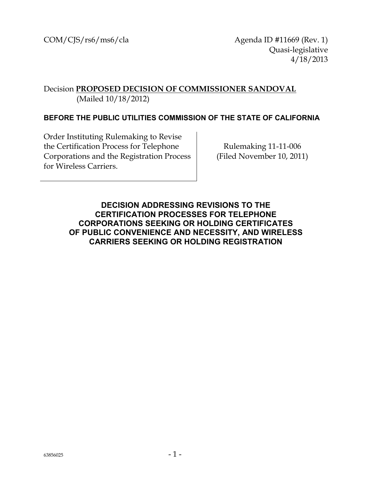$COM/C[5/rs6/ms6/cla$  Agenda ID #11669 (Rev. 1) Quasi-legislative 4/18/2013

# Decision **PROPOSED DECISION OF COMMISSIONER SANDOVAL** (Mailed 10/18/2012)

#### **BEFORE THE PUBLIC UTILITIES COMMISSION OF THE STATE OF CALIFORNIA**

Order Instituting Rulemaking to Revise the Certification Process for Telephone Corporations and the Registration Process for Wireless Carriers.

Rulemaking 11-11-006 (Filed November 10, 2011)

<span id="page-0-0"></span>**DECISION ADDRESSING REVISIONS TO THE CERTIFICATION PROCESSES FOR TELEPHONE CORPORATIONS SEEKING OR HOLDING CERTIFICATES OF PUBLIC CONVENIENCE AND NECESSITY, AND WIRELESS CARRIERS SEEKING OR HOLDING REGISTRATION**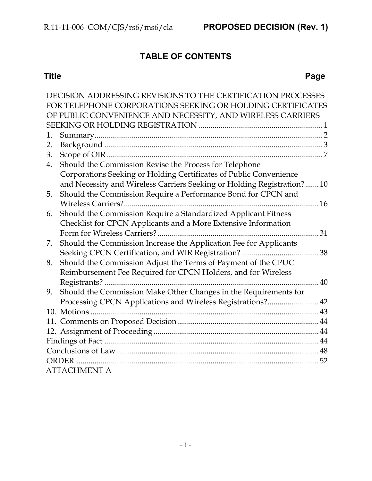# **TABLE OF CONTENTS**

# **Title Page**

|    | DECISION ADDRESSING REVISIONS TO THE CERTIFICATION PROCESSES            |    |  |  |
|----|-------------------------------------------------------------------------|----|--|--|
|    | FOR TELEPHONE CORPORATIONS SEEKING OR HOLDING CERTIFICATES              |    |  |  |
|    | OF PUBLIC CONVENIENCE AND NECESSITY, AND WIRELESS CARRIERS              |    |  |  |
|    |                                                                         |    |  |  |
| 1. |                                                                         |    |  |  |
| 2. |                                                                         |    |  |  |
| 3. |                                                                         |    |  |  |
| 4. | Should the Commission Revise the Process for Telephone                  |    |  |  |
|    | Corporations Seeking or Holding Certificates of Public Convenience      |    |  |  |
|    | and Necessity and Wireless Carriers Seeking or Holding Registration? 10 |    |  |  |
| 5. | Should the Commission Require a Performance Bond for CPCN and           |    |  |  |
|    |                                                                         |    |  |  |
| 6. | Should the Commission Require a Standardized Applicant Fitness          |    |  |  |
|    | Checklist for CPCN Applicants and a More Extensive Information          |    |  |  |
|    |                                                                         | 31 |  |  |
| 7. | Should the Commission Increase the Application Fee for Applicants       |    |  |  |
|    | Seeking CPCN Certification, and WIR Registration?                       | 38 |  |  |
| 8. | Should the Commission Adjust the Terms of Payment of the CPUC           |    |  |  |
|    | Reimbursement Fee Required for CPCN Holders, and for Wireless           |    |  |  |
|    | Registrants?                                                            | 40 |  |  |
| 9. | Should the Commission Make Other Changes in the Requirements for        |    |  |  |
|    | Processing CPCN Applications and Wireless Registrations? 42             |    |  |  |
|    |                                                                         |    |  |  |
|    |                                                                         |    |  |  |
|    |                                                                         |    |  |  |
|    |                                                                         |    |  |  |
|    |                                                                         |    |  |  |
|    | 52<br><b>ORDER</b>                                                      |    |  |  |
|    | ATTACHMENT A                                                            |    |  |  |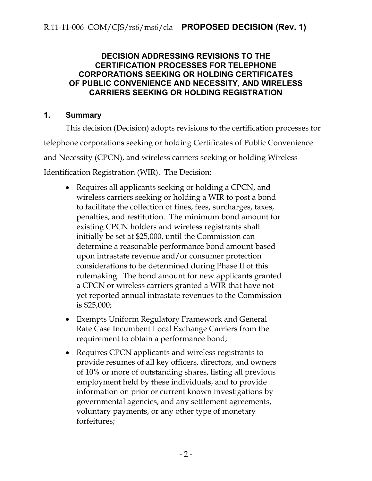# **DECISION ADDRESSING REVISIONS TO THE CERTIFICATION PROCESSES FOR TELEPHONE CORPORATIONS SEEKING OR HOLDING CERTIFICATES OF PUBLIC CONVENIENCE AND NECESSITY, AND WIRELESS CARRIERS SEEKING OR HOLDING REGISTRATION**

# <span id="page-2-0"></span>**1. Summary**

This decision (Decision) adopts revisions to the certification processes for telephone corporations seeking or holding Certificates of Public Convenience and Necessity (CPCN), and wireless carriers seeking or holding Wireless Identification Registration (WIR). The Decision:

- Requires all applicants seeking or holding a CPCN, and wireless carriers seeking or holding a WIR to post a bond to facilitate the collection of fines, fees, surcharges, taxes, penalties, and restitution. The minimum bond amount for existing CPCN holders and wireless registrants shall initially be set at \$25,000, until the Commission can determine a reasonable performance bond amount based upon intrastate revenue and/or consumer protection considerations to be determined during Phase II of this rulemaking. The bond amount for new applicants granted a CPCN or wireless carriers granted a WIR that have not yet reported annual intrastate revenues to the Commission is \$25,000;
- Exempts Uniform Regulatory Framework and General Rate Case Incumbent Local Exchange Carriers from the requirement to obtain a performance bond;
- Requires CPCN applicants and wireless registrants to provide resumes of all key officers, directors, and owners of 10% or more of outstanding shares, listing all previous employment held by these individuals, and to provide information on prior or current known investigations by governmental agencies, and any settlement agreements, voluntary payments, or any other type of monetary forfeitures;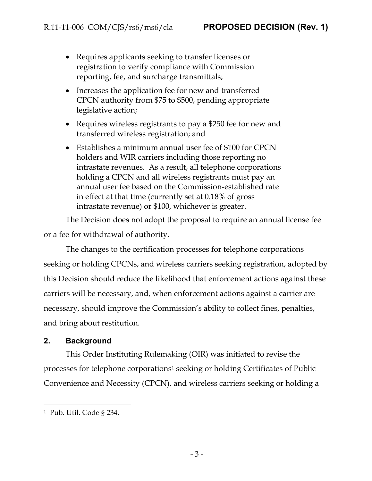- Requires applicants seeking to transfer licenses or registration to verify compliance with Commission reporting, fee, and surcharge transmittals;
- Increases the application fee for new and transferred CPCN authority from \$75 to \$500, pending appropriate legislative action;
- Requires wireless registrants to pay a \$250 fee for new and transferred wireless registration; and
- Establishes a minimum annual user fee of \$100 for CPCN holders and WIR carriers including those reporting no intrastate revenues. As a result, all telephone corporations holding a CPCN and all wireless registrants must pay an annual user fee based on the Commission-established rate in effect at that time (currently set at 0.18% of gross intrastate revenue) or \$100, whichever is greater.

The Decision does not adopt the proposal to require an annual license fee or a fee for withdrawal of authority.

The changes to the certification processes for telephone corporations seeking or holding CPCNs, and wireless carriers seeking registration, adopted by this Decision should reduce the likelihood that enforcement actions against these carriers will be necessary, and, when enforcement actions against a carrier are necessary, should improve the Commission's ability to collect fines, penalties, and bring about restitution.

# <span id="page-3-0"></span>**2. Background**

This Order Instituting Rulemaking (OIR) was initiated to revise the processes for telephone corporations<sup>1</sup> seeking or holding Certificates of Public Convenience and Necessity (CPCN), and wireless carriers seeking or holding a

<sup>1</sup> Pub. Util. Code § 234.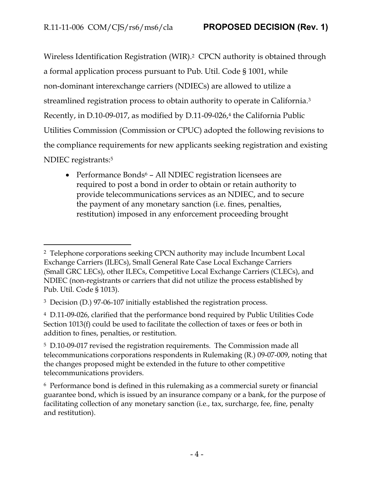Wireless Identification Registration (WIR). <sup>2</sup> CPCN authority is obtained through a formal application process pursuant to Pub. Util. Code § 1001, while non-dominant interexchange carriers (NDIECs) are allowed to utilize a streamlined registration process to obtain authority to operate in California.<sup>3</sup> Recently, in D.10-09-017, as modified by D.11-09-026,<sup>4</sup> the California Public Utilities Commission (Commission or CPUC) adopted the following revisions to the compliance requirements for new applicants seeking registration and existing NDIEC registrants:<sup>5</sup>

• Performance Bonds<sup>6</sup> – All NDIEC registration licensees are required to post a bond in order to obtain or retain authority to provide telecommunications services as an NDIEC, and to secure the payment of any monetary sanction (i.e. fines, penalties, restitution) imposed in any enforcement proceeding brought

<sup>2</sup> Telephone corporations seeking CPCN authority may include Incumbent Local Exchange Carriers (ILECs), Small General Rate Case Local Exchange Carriers (Small GRC LECs), other ILECs, Competitive Local Exchange Carriers (CLECs), and NDIEC (non-registrants or carriers that did not utilize the process established by Pub. Util. Code § 1013).

<sup>3</sup> Decision (D.) 97-06-107 initially established the registration process.

<sup>4</sup> D.11-09-026, clarified that the performance bond required by Public Utilities Code Section 1013(f) could be used to facilitate the collection of taxes or fees or both in addition to fines, penalties, or restitution.

<sup>5</sup> D.10-09-017 revised the registration requirements. The Commission made all telecommunications corporations respondents in Rulemaking (R.) 09-07-009, noting that the changes proposed might be extended in the future to other competitive telecommunications providers.

<sup>6</sup> Performance bond is defined in this rulemaking as a commercial surety or financial guarantee bond, which is issued by an insurance company or a bank, for the purpose of facilitating collection of any monetary sanction (i.e., tax, surcharge, fee, fine, penalty and restitution).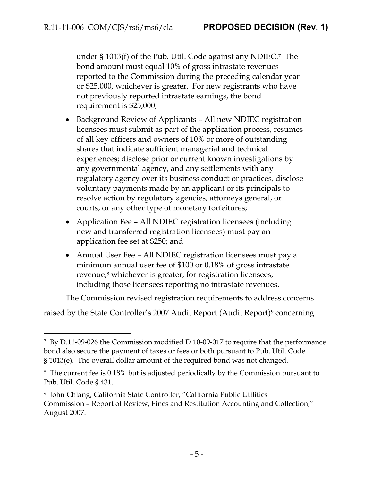under § 1013(f) of the Pub. Util. Code against any NDIEC.7 The bond amount must equal 10% of gross intrastate revenues reported to the Commission during the preceding calendar year or \$25,000, whichever is greater. For new registrants who have not previously reported intrastate earnings, the bond requirement is \$25,000;

- Background Review of Applicants All new NDIEC registration licensees must submit as part of the application process, resumes of all key officers and owners of 10% or more of outstanding shares that indicate sufficient managerial and technical experiences; disclose prior or current known investigations by any governmental agency, and any settlements with any regulatory agency over its business conduct or practices, disclose voluntary payments made by an applicant or its principals to resolve action by regulatory agencies, attorneys general, or courts, or any other type of monetary forfeitures;
- Application Fee All NDIEC registration licensees (including new and transferred registration licensees) must pay an application fee set at \$250; and
- Annual User Fee All NDIEC registration licensees must pay a minimum annual user fee of \$100 or 0.18% of gross intrastate revenue,<sup>8</sup> whichever is greater, for registration licensees, including those licensees reporting no intrastate revenues.

The Commission revised registration requirements to address concerns

raised by the State Controller's 2007 Audit Report (Audit Report)<sup>9</sup> concerning

<sup>7</sup> By D.11-09-026 the Commission modified D.10-09-017 to require that the performance bond also secure the payment of taxes or fees or both pursuant to Pub. Util. Code § 1013(e). The overall dollar amount of the required bond was not changed.

<sup>8</sup> The current fee is 0.18% but is adjusted periodically by the Commission pursuant to Pub. Util. Code § 431.

<sup>9</sup> John Chiang, California State Controller, "California Public Utilities Commission – Report of Review, Fines and Restitution Accounting and Collection," August 2007.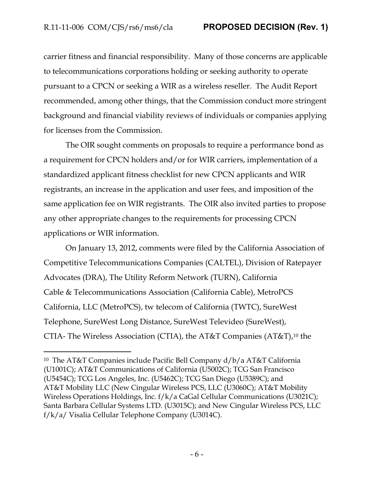carrier fitness and financial responsibility. Many of those concerns are applicable to telecommunications corporations holding or seeking authority to operate pursuant to a CPCN or seeking a WIR as a wireless reseller. The Audit Report recommended, among other things, that the Commission conduct more stringent background and financial viability reviews of individuals or companies applying for licenses from the Commission.

The OIR sought comments on proposals to require a performance bond as a requirement for CPCN holders and/or for WIR carriers, implementation of a standardized applicant fitness checklist for new CPCN applicants and WIR registrants, an increase in the application and user fees, and imposition of the same application fee on WIR registrants. The OIR also invited parties to propose any other appropriate changes to the requirements for processing CPCN applications or WIR information.

On January 13, 2012, comments were filed by the California Association of Competitive Telecommunications Companies (CALTEL), Division of Ratepayer Advocates (DRA), The Utility Reform Network (TURN), California Cable & Telecommunications Association (California Cable), MetroPCS California, LLC (MetroPCS), tw telecom of California (TWTC), SureWest Telephone, SureWest Long Distance, SureWest Televideo (SureWest), CTIA- The Wireless Association (CTIA), the AT&T Companies (AT&T), <sup>10</sup> the

<sup>10</sup> The AT&T Companies include Pacific Bell Company d/b/a AT&T California (U1001C); AT&T Communications of California (U5002C); TCG San Francisco (U5454C); TCG Los Angeles, Inc. (U5462C); TCG San Diego (U5389C); and AT&T Mobility LLC (New Cingular Wireless PCS, LLC (U3060C); AT&T Mobility Wireless Operations Holdings, Inc. f/k/a CaGal Cellular Communications (U3021C); Santa Barbara Cellular Systems LTD. (U3015C); and New Cingular Wireless PCS, LLC f/k/a/ Visalia Cellular Telephone Company (U3014C).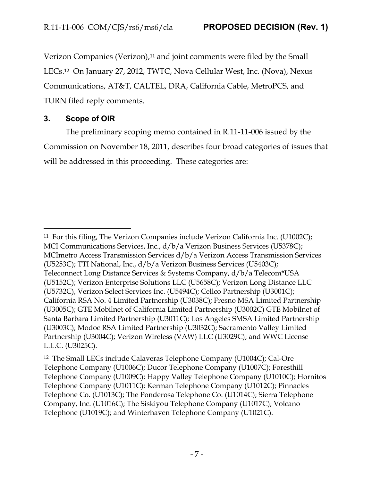Verizon Companies (Verizon),<sup>11</sup> and joint comments were filed by the Small LECs.12 On January 27, 2012, TWTC, Nova Cellular West, Inc. (Nova), Nexus Communications, AT&T, CALTEL, DRA, California Cable, MetroPCS, and TURN filed reply comments.

# <span id="page-7-0"></span>**3. Scope of OIR**

 $\overline{a}$ 

The preliminary scoping memo contained in R.11-11-006 issued by the Commission on November 18, 2011, describes four broad categories of issues that will be addressed in this proceeding. These categories are:

<sup>11</sup> For this filing, The Verizon Companies include Verizon California Inc. (U1002C); MCI Communications Services, Inc., d/b/a Verizon Business Services (U5378C); MCImetro Access Transmission Services d/b/a Verizon Access Transmission Services (U5253C); TTI National, Inc., d/b/a Verizon Business Services (U5403C); Teleconnect Long Distance Services & Systems Company, d/b/a Telecom\*USA (U5152C); Verizon Enterprise Solutions LLC (U5658C); Verizon Long Distance LLC (U5732C), Verizon Select Services Inc. (U5494C); Cellco Partnership (U3001C); California RSA No. 4 Limited Partnership (U3038C); Fresno MSA Limited Partnership (U3005C); GTE Mobilnet of California Limited Partnership (U3002C) GTE Mobilnet of Santa Barbara Limited Partnership (U3011C); Los Angeles SMSA Limited Partnership (U3003C); Modoc RSA Limited Partnership (U3032C); Sacramento Valley Limited Partnership (U3004C); Verizon Wireless (VAW) LLC (U3029C); and WWC License L.L.C. (U3025C).

<sup>12</sup> The Small LECs include Calaveras Telephone Company (U1004C); Cal-Ore Telephone Company (U1006C); Ducor Telephone Company (U1007C); Foresthill Telephone Company (U1009C); Happy Valley Telephone Company (U1010C); Hornitos Telephone Company (U1011C); Kerman Telephone Company (U1012C); Pinnacles Telephone Co. (U1013C); The Ponderosa Telephone Co. (U1014C); Sierra Telephone Company, Inc. (U1016C); The Siskiyou Telephone Company (U1017C); Volcano Telephone (U1019C); and Winterhaven Telephone Company (U1021C).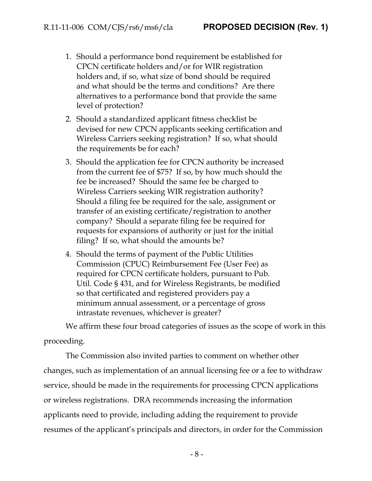- 1. Should a performance bond requirement be established for CPCN certificate holders and/or for WIR registration holders and, if so, what size of bond should be required and what should be the terms and conditions? Are there alternatives to a performance bond that provide the same level of protection?
- 2. Should a standardized applicant fitness checklist be devised for new CPCN applicants seeking certification and Wireless Carriers seeking registration? If so, what should the requirements be for each?
- 3. Should the application fee for CPCN authority be increased from the current fee of \$75? If so, by how much should the fee be increased? Should the same fee be charged to Wireless Carriers seeking WIR registration authority? Should a filing fee be required for the sale, assignment or transfer of an existing certificate/registration to another company? Should a separate filing fee be required for requests for expansions of authority or just for the initial filing? If so, what should the amounts be?
- 4. Should the terms of payment of the Public Utilities Commission (CPUC) Reimbursement Fee (User Fee) as required for CPCN certificate holders, pursuant to Pub. Util. Code § 431, and for Wireless Registrants, be modified so that certificated and registered providers pay a minimum annual assessment, or a percentage of gross intrastate revenues, whichever is greater?

We affirm these four broad categories of issues as the scope of work in this proceeding.

The Commission also invited parties to comment on whether other changes, such as implementation of an annual licensing fee or a fee to withdraw service, should be made in the requirements for processing CPCN applications or wireless registrations. DRA recommends increasing the information applicants need to provide, including adding the requirement to provide resumes of the applicant's principals and directors, in order for the Commission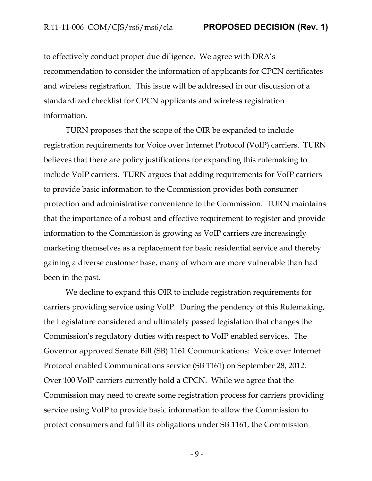to effectively conduct proper due diligence. We agree with DRA's recommendation to consider the information of applicants for CPCN certificates and wireless registration. This issue will be addressed in our discussion of a standardized checklist for CPCN applicants and wireless registration information.

TURN proposes that the scope of the OIR be expanded to include registration requirements for Voice over Internet Protocol (VoIP) carriers. TURN believes that there are policy justifications for expanding this rulemaking to include VoIP carriers. TURN argues that adding requirements for VoIP carriers to provide basic information to the Commission provides both consumer protection and administrative convenience to the Commission. TURN maintains that the importance of a robust and effective requirement to register and provide information to the Commission is growing as VoIP carriers are increasingly marketing themselves as a replacement for basic residential service and thereby gaining a diverse customer base, many of whom are more vulnerable than had been in the past.

We decline to expand this OIR to include registration requirements for carriers providing service using VoIP. During the pendency of this Rulemaking, the Legislature considered and ultimately passed legislation that changes the Commission's regulatory duties with respect to VoIP enabled services. The Governor approved Senate Bill (SB) 1161 Communications: Voice over Internet Protocol enabled Communications service (SB 1161) on September 28, 2012. Over 100 VoIP carriers currently hold a CPCN. While we agree that the Commission may need to create some registration process for carriers providing service using VoIP to provide basic information to allow the Commission to protect consumers and fulfill its obligations under SB 1161, the Commission

- 9 -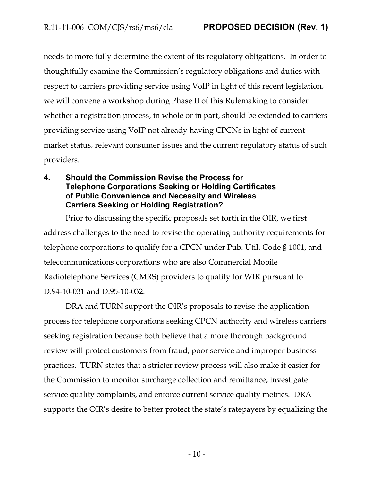needs to more fully determine the extent of its regulatory obligations. In order to thoughtfully examine the Commission's regulatory obligations and duties with respect to carriers providing service using VoIP in light of this recent legislation, we will convene a workshop during Phase II of this Rulemaking to consider whether a registration process, in whole or in part, should be extended to carriers providing service using VoIP not already having CPCNs in light of current market status, relevant consumer issues and the current regulatory status of such providers.

## <span id="page-10-0"></span>**4. Should the Commission Revise the Process for Telephone Corporations Seeking or Holding Certificates of Public Convenience and Necessity and Wireless Carriers Seeking or Holding Registration?**

Prior to discussing the specific proposals set forth in the OIR, we first address challenges to the need to revise the operating authority requirements for telephone corporations to qualify for a CPCN under Pub. Util. Code § 1001, and telecommunications corporations who are also Commercial Mobile Radiotelephone Services (CMRS) providers to qualify for WIR pursuant to D.94-10-031 and D.95-10-032.

DRA and TURN support the OIR's proposals to revise the application process for telephone corporations seeking CPCN authority and wireless carriers seeking registration because both believe that a more thorough background review will protect customers from fraud, poor service and improper business practices. TURN states that a stricter review process will also make it easier for the Commission to monitor surcharge collection and remittance, investigate service quality complaints, and enforce current service quality metrics. DRA supports the OIR's desire to better protect the state's ratepayers by equalizing the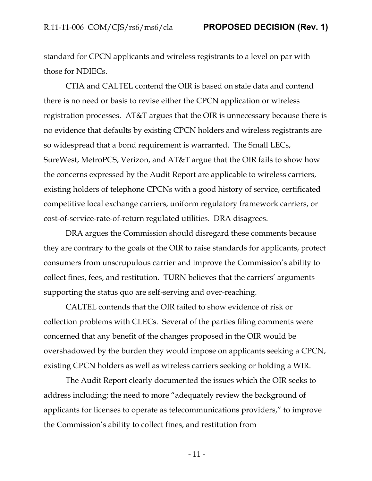standard for CPCN applicants and wireless registrants to a level on par with those for NDIECs.

CTIA and CALTEL contend the OIR is based on stale data and contend there is no need or basis to revise either the CPCN application or wireless registration processes. AT&T argues that the OIR is unnecessary because there is no evidence that defaults by existing CPCN holders and wireless registrants are so widespread that a bond requirement is warranted. The Small LECs, SureWest, MetroPCS, Verizon, and AT&T argue that the OIR fails to show how the concerns expressed by the Audit Report are applicable to wireless carriers, existing holders of telephone CPCNs with a good history of service, certificated competitive local exchange carriers, uniform regulatory framework carriers, or cost-of-service-rate-of-return regulated utilities. DRA disagrees.

DRA argues the Commission should disregard these comments because they are contrary to the goals of the OIR to raise standards for applicants, protect consumers from unscrupulous carrier and improve the Commission's ability to collect fines, fees, and restitution. TURN believes that the carriers' arguments supporting the status quo are self-serving and over-reaching.

CALTEL contends that the OIR failed to show evidence of risk or collection problems with CLECs. Several of the parties filing comments were concerned that any benefit of the changes proposed in the OIR would be overshadowed by the burden they would impose on applicants seeking a CPCN, existing CPCN holders as well as wireless carriers seeking or holding a WIR.

The Audit Report clearly documented the issues which the OIR seeks to address including; the need to more "adequately review the background of applicants for licenses to operate as telecommunications providers," to improve the Commission's ability to collect fines, and restitution from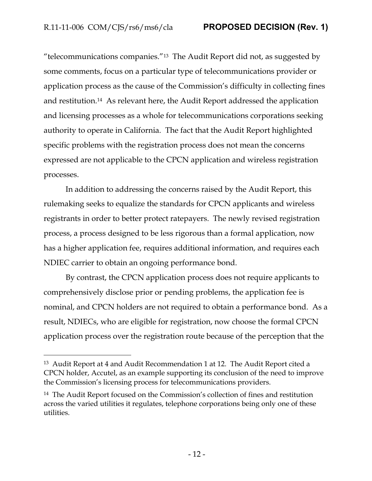"telecommunications companies."13 The Audit Report did not, as suggested by some comments, focus on a particular type of telecommunications provider or application process as the cause of the Commission's difficulty in collecting fines and restitution.14 As relevant here, the Audit Report addressed the application and licensing processes as a whole for telecommunications corporations seeking authority to operate in California. The fact that the Audit Report highlighted specific problems with the registration process does not mean the concerns expressed are not applicable to the CPCN application and wireless registration processes.

In addition to addressing the concerns raised by the Audit Report, this rulemaking seeks to equalize the standards for CPCN applicants and wireless registrants in order to better protect ratepayers. The newly revised registration process, a process designed to be less rigorous than a formal application, now has a higher application fee, requires additional information, and requires each NDIEC carrier to obtain an ongoing performance bond.

By contrast, the CPCN application process does not require applicants to comprehensively disclose prior or pending problems, the application fee is nominal, and CPCN holders are not required to obtain a performance bond. As a result, NDIECs, who are eligible for registration, now choose the formal CPCN application process over the registration route because of the perception that the

<sup>13</sup> Audit Report at 4 and Audit Recommendation 1 at 12. The Audit Report cited a CPCN holder, Accutel, as an example supporting its conclusion of the need to improve the Commission's licensing process for telecommunications providers.

<sup>14</sup> The Audit Report focused on the Commission's collection of fines and restitution across the varied utilities it regulates, telephone corporations being only one of these utilities.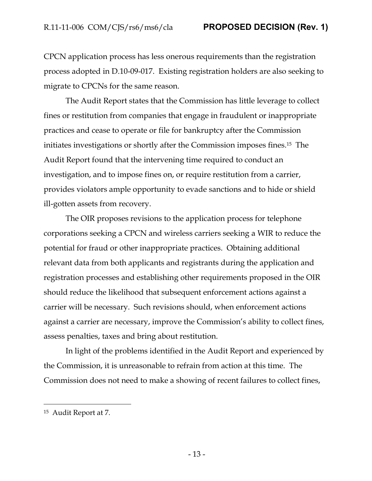CPCN application process has less onerous requirements than the registration process adopted in D.10-09-017. Existing registration holders are also seeking to migrate to CPCNs for the same reason.

The Audit Report states that the Commission has little leverage to collect fines or restitution from companies that engage in fraudulent or inappropriate practices and cease to operate or file for bankruptcy after the Commission initiates investigations or shortly after the Commission imposes fines.15 The Audit Report found that the intervening time required to conduct an investigation, and to impose fines on, or require restitution from a carrier, provides violators ample opportunity to evade sanctions and to hide or shield ill-gotten assets from recovery.

The OIR proposes revisions to the application process for telephone corporations seeking a CPCN and wireless carriers seeking a WIR to reduce the potential for fraud or other inappropriate practices. Obtaining additional relevant data from both applicants and registrants during the application and registration processes and establishing other requirements proposed in the OIR should reduce the likelihood that subsequent enforcement actions against a carrier will be necessary. Such revisions should, when enforcement actions against a carrier are necessary, improve the Commission's ability to collect fines, assess penalties, taxes and bring about restitution.

In light of the problems identified in the Audit Report and experienced by the Commission, it is unreasonable to refrain from action at this time. The Commission does not need to make a showing of recent failures to collect fines,

<sup>15</sup> Audit Report at 7.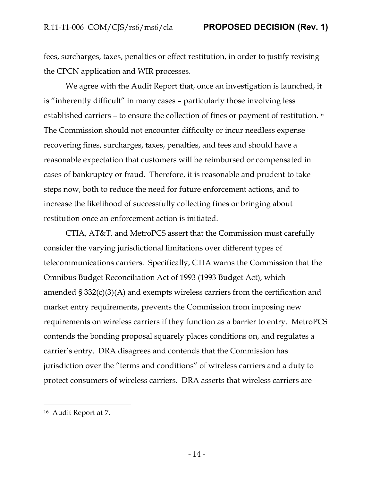fees, surcharges, taxes, penalties or effect restitution, in order to justify revising the CPCN application and WIR processes.

We agree with the Audit Report that, once an investigation is launched, it is "inherently difficult" in many cases – particularly those involving less established carriers – to ensure the collection of fines or payment of restitution.<sup>16</sup> The Commission should not encounter difficulty or incur needless expense recovering fines, surcharges, taxes, penalties, and fees and should have a reasonable expectation that customers will be reimbursed or compensated in cases of bankruptcy or fraud. Therefore, it is reasonable and prudent to take steps now, both to reduce the need for future enforcement actions, and to increase the likelihood of successfully collecting fines or bringing about restitution once an enforcement action is initiated.

CTIA, AT&T, and MetroPCS assert that the Commission must carefully consider the varying jurisdictional limitations over different types of telecommunications carriers. Specifically, CTIA warns the Commission that the Omnibus Budget Reconciliation Act of 1993 (1993 Budget Act), which amended § 332(c)(3)(A) and exempts wireless carriers from the certification and market entry requirements, prevents the Commission from imposing new requirements on wireless carriers if they function as a barrier to entry. MetroPCS contends the bonding proposal squarely places conditions on, and regulates a carrier's entry. DRA disagrees and contends that the Commission has jurisdiction over the "terms and conditions" of wireless carriers and a duty to protect consumers of wireless carriers. DRA asserts that wireless carriers are

<sup>16</sup> Audit Report at 7.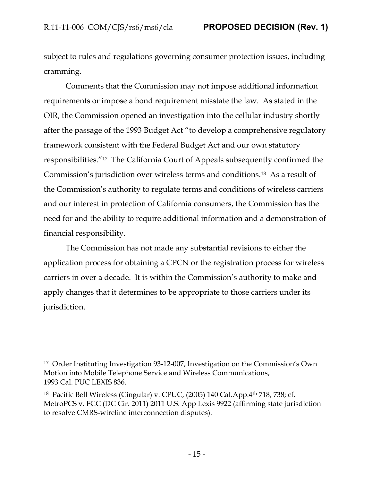subject to rules and regulations governing consumer protection issues, including cramming.

Comments that the Commission may not impose additional information requirements or impose a bond requirement misstate the law. As stated in the OIR, the Commission opened an investigation into the cellular industry shortly after the passage of the 1993 Budget Act "to develop a comprehensive regulatory framework consistent with the Federal Budget Act and our own statutory responsibilities."17 The California Court of Appeals subsequently confirmed the Commission's jurisdiction over wireless terms and conditions.18 As a result of the Commission's authority to regulate terms and conditions of wireless carriers and our interest in protection of California consumers, the Commission has the need for and the ability to require additional information and a demonstration of financial responsibility.

The Commission has not made any substantial revisions to either the application process for obtaining a CPCN or the registration process for wireless carriers in over a decade. It is within the Commission's authority to make and apply changes that it determines to be appropriate to those carriers under its jurisdiction.

<sup>17</sup> Order Instituting Investigation 93-12-007, Investigation on the Commission's Own Motion into Mobile Telephone Service and Wireless Communications, 1993 Cal. PUC LEXIS 836.

<sup>18</sup> Pacific Bell Wireless (Cingular) v. CPUC, (2005) 140 Cal.App.4th 718, 738; cf. MetroPCS v. FCC (DC Cir. 2011) 2011 U.S. App Lexis 9922 (affirming state jurisdiction to resolve CMRS-wireline interconnection disputes).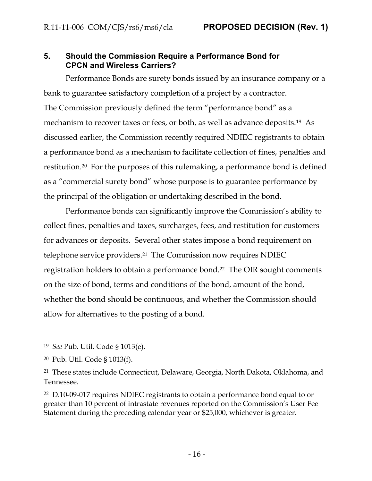## <span id="page-16-0"></span>**5. Should the Commission Require a Performance Bond for CPCN and Wireless Carriers?**

Performance Bonds are surety bonds issued by an insurance company or a bank to guarantee satisfactory completion of a project by a contractor. The Commission previously defined the term "performance bond" as a mechanism to recover taxes or fees, or both, as well as advance deposits.<sup>19</sup> As discussed earlier, the Commission recently required NDIEC registrants to obtain a performance bond as a mechanism to facilitate collection of fines, penalties and restitution.20 For the purposes of this rulemaking, a performance bond is defined as a "commercial surety bond" whose purpose is to guarantee performance by the principal of the obligation or undertaking described in the bond.

Performance bonds can significantly improve the Commission's ability to collect fines, penalties and taxes, surcharges, fees, and restitution for customers for advances or deposits. Several other states impose a bond requirement on telephone service providers.<sup>21</sup> The Commission now requires NDIEC registration holders to obtain a performance bond.<sup>22</sup> The OIR sought comments on the size of bond, terms and conditions of the bond, amount of the bond, whether the bond should be continuous, and whether the Commission should allow for alternatives to the posting of a bond.

<sup>19</sup> *See* Pub. Util. Code § 1013(e).

<sup>20</sup> Pub. Util. Code § 1013(f).

<sup>21</sup> These states include Connecticut, Delaware, Georgia, North Dakota, Oklahoma, and Tennessee.

<sup>22</sup> D.10-09-017 requires NDIEC registrants to obtain a performance bond equal to or greater than 10 percent of intrastate revenues reported on the Commission's User Fee Statement during the preceding calendar year or \$25,000, whichever is greater.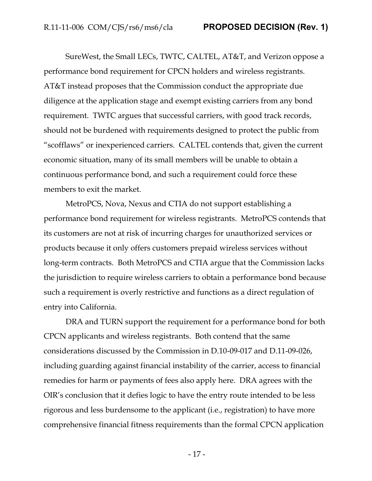SureWest, the Small LECs, TWTC, CALTEL, AT&T, and Verizon oppose a performance bond requirement for CPCN holders and wireless registrants. AT&T instead proposes that the Commission conduct the appropriate due diligence at the application stage and exempt existing carriers from any bond requirement. TWTC argues that successful carriers, with good track records, should not be burdened with requirements designed to protect the public from "scofflaws" or inexperienced carriers. CALTEL contends that, given the current economic situation, many of its small members will be unable to obtain a continuous performance bond, and such a requirement could force these members to exit the market.

MetroPCS, Nova, Nexus and CTIA do not support establishing a performance bond requirement for wireless registrants. MetroPCS contends that its customers are not at risk of incurring charges for unauthorized services or products because it only offers customers prepaid wireless services without long-term contracts. Both MetroPCS and CTIA argue that the Commission lacks the jurisdiction to require wireless carriers to obtain a performance bond because such a requirement is overly restrictive and functions as a direct regulation of entry into California.

DRA and TURN support the requirement for a performance bond for both CPCN applicants and wireless registrants. Both contend that the same considerations discussed by the Commission in D.10-09-017 and D.11-09-026, including guarding against financial instability of the carrier, access to financial remedies for harm or payments of fees also apply here. DRA agrees with the OIR's conclusion that it defies logic to have the entry route intended to be less rigorous and less burdensome to the applicant (i.e., registration) to have more comprehensive financial fitness requirements than the formal CPCN application

- 17 -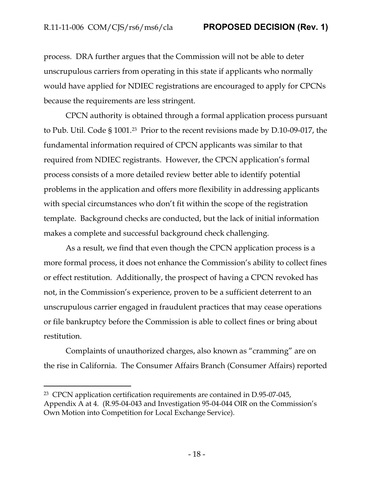process. DRA further argues that the Commission will not be able to deter unscrupulous carriers from operating in this state if applicants who normally would have applied for NDIEC registrations are encouraged to apply for CPCNs because the requirements are less stringent.

CPCN authority is obtained through a formal application process pursuant to Pub. Util. Code § 1001.23 Prior to the recent revisions made by D.10-09-017, the fundamental information required of CPCN applicants was similar to that required from NDIEC registrants. However, the CPCN application's formal process consists of a more detailed review better able to identify potential problems in the application and offers more flexibility in addressing applicants with special circumstances who don't fit within the scope of the registration template. Background checks are conducted, but the lack of initial information makes a complete and successful background check challenging.

As a result, we find that even though the CPCN application process is a more formal process, it does not enhance the Commission's ability to collect fines or effect restitution. Additionally, the prospect of having a CPCN revoked has not, in the Commission's experience, proven to be a sufficient deterrent to an unscrupulous carrier engaged in fraudulent practices that may cease operations or file bankruptcy before the Commission is able to collect fines or bring about restitution.

Complaints of unauthorized charges, also known as "cramming" are on the rise in California. The Consumer Affairs Branch (Consumer Affairs) reported

<sup>23</sup> CPCN application certification requirements are contained in D.95-07-045, Appendix A at 4. (R.95-04-043 and Investigation 95-04-044 OIR on the Commission's Own Motion into Competition for Local Exchange Service).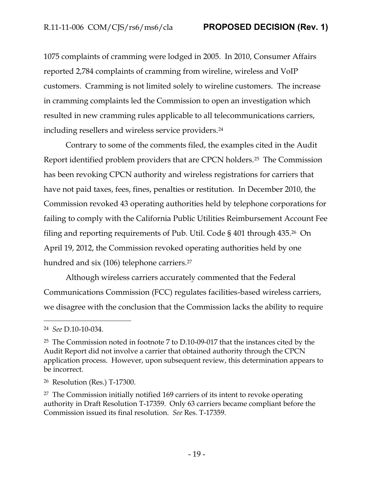1075 complaints of cramming were lodged in 2005. In 2010, Consumer Affairs reported 2,784 complaints of cramming from wireline, wireless and VoIP customers. Cramming is not limited solely to wireline customers. The increase in cramming complaints led the Commission to open an investigation which resulted in new cramming rules applicable to all telecommunications carriers, including resellers and wireless service providers.<sup>24</sup>

Contrary to some of the comments filed, the examples cited in the Audit Report identified problem providers that are CPCN holders.25 The Commission has been revoking CPCN authority and wireless registrations for carriers that have not paid taxes, fees, fines, penalties or restitution. In December 2010, the Commission revoked 43 operating authorities held by telephone corporations for failing to comply with the California Public Utilities Reimbursement Account Fee filing and reporting requirements of Pub. Util. Code § 401 through 435.26 On April 19, 2012, the Commission revoked operating authorities held by one hundred and six (106) telephone carriers.<sup>27</sup>

Although wireless carriers accurately commented that the Federal Communications Commission (FCC) regulates facilities-based wireless carriers, we disagree with the conclusion that the Commission lacks the ability to require

<sup>24</sup> *See* D.10-10-034.

<sup>25</sup> The Commission noted in footnote 7 to D.10-09-017 that the instances cited by the Audit Report did not involve a carrier that obtained authority through the CPCN application process. However, upon subsequent review, this determination appears to be incorrect.

<sup>26</sup> Resolution (Res.) T-17300.

<sup>27</sup> The Commission initially notified 169 carriers of its intent to revoke operating authority in Draft Resolution T-17359. Only 63 carriers became compliant before the Commission issued its final resolution. *See* Res. T-17359.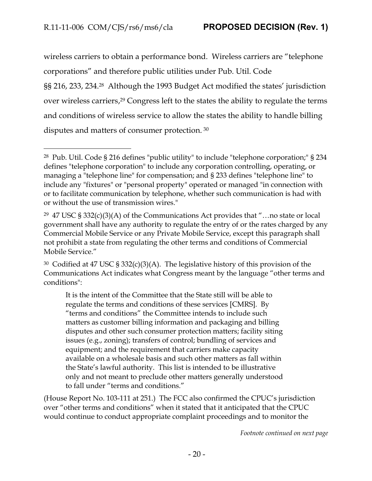wireless carriers to obtain a performance bond. Wireless carriers are "telephone corporations" and therefore public utilities under Pub. Util. Code §§ 216, 233, 234.<sup>28</sup> Although the 1993 Budget Act modified the states' jurisdiction over wireless carriers, <sup>29</sup> Congress left to the states the ability to regulate the terms and conditions of wireless service to allow the states the ability to handle billing disputes and matters of consumer protection. <sup>30</sup>

It is the intent of the Committee that the State still will be able to regulate the terms and conditions of these services [CMRS]. By "terms and conditions" the Committee intends to include such matters as customer billing information and packaging and billing disputes and other such consumer protection matters; facility siting issues (e.g., zoning); transfers of control; bundling of services and equipment; and the requirement that carriers make capacity available on a wholesale basis and such other matters as fall within the State's lawful authority. This list is intended to be illustrative only and not meant to preclude other matters generally understood to fall under "terms and conditions."

(House Report No. 103-111 at 251.) The FCC also confirmed the CPUC's jurisdiction over "other terms and conditions" when it stated that it anticipated that the CPUC would continue to conduct appropriate complaint proceedings and to monitor the

*Footnote continued on next page*

<sup>28</sup> Pub. Util. Code § 216 defines "public utility" to include "telephone corporation;" § 234 defines "telephone corporation" to include any corporation controlling, operating, or managing a "telephone line" for compensation; and § 233 defines "telephone line" to include any "fixtures" or "personal property" operated or managed "in connection with or to facilitate communication by telephone, whether such communication is had with or without the use of transmission wires."

<sup>&</sup>lt;sup>29</sup> 47 USC § 332(c)(3)(A) of the Communications Act provides that "...no state or local government shall have any authority to regulate the entry of or the rates charged by any Commercial Mobile Service or any Private Mobile Service, except this paragraph shall not prohibit a state from regulating the other terms and conditions of Commercial Mobile Service."

<sup>30</sup> Codified at 47 USC § 332(c)(3)(A). The legislative history of this provision of the Communications Act indicates what Congress meant by the language "other terms and conditions":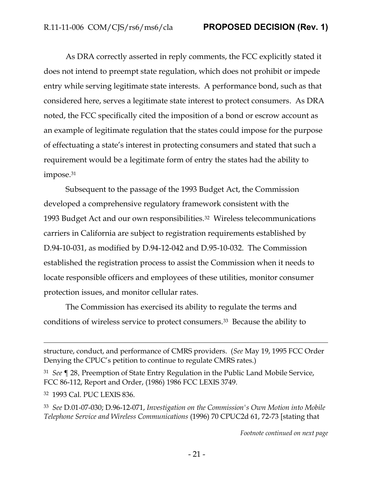As DRA correctly asserted in reply comments, the FCC explicitly stated it does not intend to preempt state regulation, which does not prohibit or impede entry while serving legitimate state interests. A performance bond, such as that considered here, serves a legitimate state interest to protect consumers. As DRA noted, the FCC specifically cited the imposition of a bond or escrow account as an example of legitimate regulation that the states could impose for the purpose of effectuating a state's interest in protecting consumers and stated that such a requirement would be a legitimate form of entry the states had the ability to impose.<sup>31</sup>

Subsequent to the passage of the 1993 Budget Act, the Commission developed a comprehensive regulatory framework consistent with the 1993 Budget Act and our own responsibilities.32 Wireless telecommunications carriers in California are subject to registration requirements established by D.94-10-031, as modified by D.94-12-042 and D.95-10-032. The Commission established the registration process to assist the Commission when it needs to locate responsible officers and employees of these utilities, monitor consumer protection issues, and monitor cellular rates.

The Commission has exercised its ability to regulate the terms and conditions of wireless service to protect consumers.33 Because the ability to

<sup>31</sup> *See* ¶ 28, Preemption of State Entry Regulation in the Public Land Mobile Service, FCC 86-112, Report and Order, (1986) 1986 FCC LEXIS 3749.

<sup>32</sup> 1993 Cal. PUC LEXIS 836.

 $\overline{a}$ 

<sup>33</sup> *See* D.01-07-030; D.96-12-071, *Investigation on the Commission's Own Motion into Mobile Telephone Service and Wireless Communications* (1996) 70 CPUC2d 61, 72-73 [stating that

*Footnote continued on next page*

structure, conduct, and performance of CMRS providers. (*See* May 19, 1995 FCC Order Denying the CPUC's petition to continue to regulate CMRS rates.)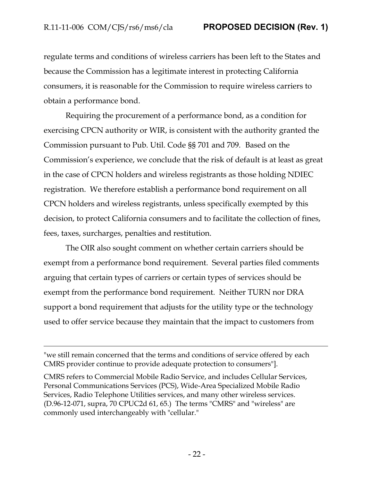regulate terms and conditions of wireless carriers has been left to the States and because the Commission has a legitimate interest in protecting California consumers, it is reasonable for the Commission to require wireless carriers to obtain a performance bond.

Requiring the procurement of a performance bond, as a condition for exercising CPCN authority or WIR, is consistent with the authority granted the Commission pursuant to Pub. Util. Code §§ 701 and 709. Based on the Commission's experience, we conclude that the risk of default is at least as great in the case of CPCN holders and wireless registrants as those holding NDIEC registration. We therefore establish a performance bond requirement on all CPCN holders and wireless registrants, unless specifically exempted by this decision, to protect California consumers and to facilitate the collection of fines, fees, taxes, surcharges, penalties and restitution.

The OIR also sought comment on whether certain carriers should be exempt from a performance bond requirement. Several parties filed comments arguing that certain types of carriers or certain types of services should be exempt from the performance bond requirement. Neither TURN nor DRA support a bond requirement that adjusts for the utility type or the technology used to offer service because they maintain that the impact to customers from

"we still remain concerned that the terms and conditions of service offered by each CMRS provider continue to provide adequate protection to consumers"].

CMRS refers to Commercial Mobile Radio Service, and includes Cellular Services, Personal Communications Services (PCS), Wide-Area Specialized Mobile Radio Services, Radio Telephone Utilities services, and many other wireless services. (D.96-12-071, supra, 70 CPUC2d 61, 65.) The terms "CMRS" and "wireless" are commonly used interchangeably with "cellular."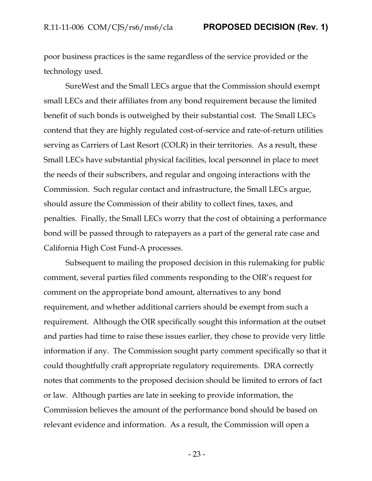poor business practices is the same regardless of the service provided or the technology used.

SureWest and the Small LECs argue that the Commission should exempt small LECs and their affiliates from any bond requirement because the limited benefit of such bonds is outweighed by their substantial cost. The Small LECs contend that they are highly regulated cost-of-service and rate-of-return utilities serving as Carriers of Last Resort (COLR) in their territories. As a result, these Small LECs have substantial physical facilities, local personnel in place to meet the needs of their subscribers, and regular and ongoing interactions with the Commission. Such regular contact and infrastructure, the Small LECs argue, should assure the Commission of their ability to collect fines, taxes, and penalties. Finally, the Small LECs worry that the cost of obtaining a performance bond will be passed through to ratepayers as a part of the general rate case and California High Cost Fund-A processes.

Subsequent to mailing the proposed decision in this rulemaking for public comment, several parties filed comments responding to the OIR's request for comment on the appropriate bond amount, alternatives to any bond requirement, and whether additional carriers should be exempt from such a requirement. Although the OIR specifically sought this information at the outset and parties had time to raise these issues earlier, they chose to provide very little information if any. The Commission sought party comment specifically so that it could thoughtfully craft appropriate regulatory requirements. DRA correctly notes that comments to the proposed decision should be limited to errors of fact or law. Although parties are late in seeking to provide information, the Commission believes the amount of the performance bond should be based on relevant evidence and information. As a result, the Commission will open a

- 23 -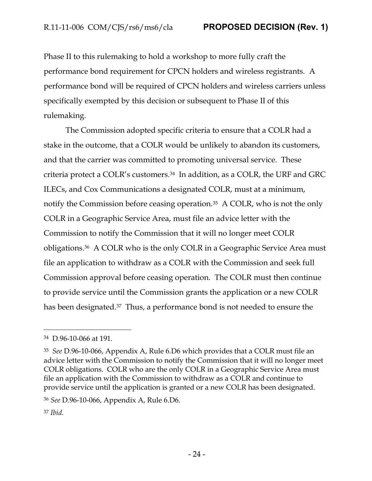Phase II to this rulemaking to hold a workshop to more fully craft the performance bond requirement for CPCN holders and wireless registrants. A performance bond will be required of CPCN holders and wireless carriers unless specifically exempted by this decision or subsequent to Phase II of this rulemaking.

The Commission adopted specific criteria to ensure that a COLR had a stake in the outcome, that a COLR would be unlikely to abandon its customers, and that the carrier was committed to promoting universal service. These criteria protect a COLR's customers.34 In addition, as a COLR, the URF and GRC ILECs, and Cox Communications a designated COLR, must at a minimum, notify the Commission before ceasing operation.<sup>35</sup> A COLR, who is not the only COLR in a Geographic Service Area, must file an advice letter with the Commission to notify the Commission that it will no longer meet COLR obligations.36 A COLR who is the only COLR in a Geographic Service Area must file an application to withdraw as a COLR with the Commission and seek full Commission approval before ceasing operation. The COLR must then continue to provide service until the Commission grants the application or a new COLR has been designated.<sup>37</sup> Thus, a performance bond is not needed to ensure the

<sup>34</sup> D.96-10-066 at 191.

<sup>35</sup> *See* D.96-10-066, Appendix A, Rule 6.D6 which provides that a COLR must file an advice letter with the Commission to notify the Commission that it will no longer meet COLR obligations. COLR who are the only COLR in a Geographic Service Area must file an application with the Commission to withdraw as a COLR and continue to provide service until the application is granted or a new COLR has been designated.

<sup>36</sup> *See* D.96-10-066, Appendix A, Rule 6.D6.

<sup>37</sup> *Ibid.*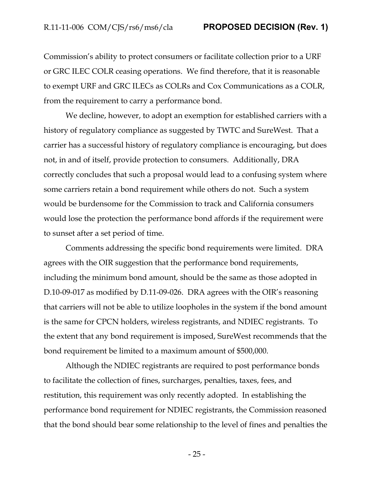Commission's ability to protect consumers or facilitate collection prior to a URF or GRC ILEC COLR ceasing operations. We find therefore, that it is reasonable to exempt URF and GRC ILECs as COLRs and Cox Communications as a COLR, from the requirement to carry a performance bond.

We decline, however, to adopt an exemption for established carriers with a history of regulatory compliance as suggested by TWTC and SureWest. That a carrier has a successful history of regulatory compliance is encouraging, but does not, in and of itself, provide protection to consumers. Additionally, DRA correctly concludes that such a proposal would lead to a confusing system where some carriers retain a bond requirement while others do not. Such a system would be burdensome for the Commission to track and California consumers would lose the protection the performance bond affords if the requirement were to sunset after a set period of time.

Comments addressing the specific bond requirements were limited. DRA agrees with the OIR suggestion that the performance bond requirements, including the minimum bond amount, should be the same as those adopted in D.10-09-017 as modified by D.11-09-026. DRA agrees with the OIR's reasoning that carriers will not be able to utilize loopholes in the system if the bond amount is the same for CPCN holders, wireless registrants, and NDIEC registrants. To the extent that any bond requirement is imposed, SureWest recommends that the bond requirement be limited to a maximum amount of \$500,000.

Although the NDIEC registrants are required to post performance bonds to facilitate the collection of fines, surcharges, penalties, taxes, fees, and restitution, this requirement was only recently adopted. In establishing the performance bond requirement for NDIEC registrants, the Commission reasoned that the bond should bear some relationship to the level of fines and penalties the

- 25 -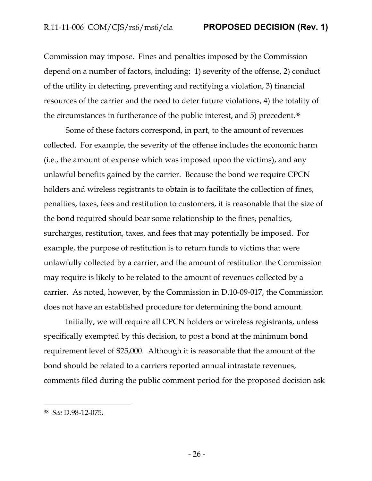Commission may impose. Fines and penalties imposed by the Commission depend on a number of factors, including: 1) severity of the offense, 2) conduct of the utility in detecting, preventing and rectifying a violation, 3) financial resources of the carrier and the need to deter future violations, 4) the totality of the circumstances in furtherance of the public interest, and 5) precedent.<sup>38</sup>

Some of these factors correspond, in part, to the amount of revenues collected. For example, the severity of the offense includes the economic harm (i.e., the amount of expense which was imposed upon the victims), and any unlawful benefits gained by the carrier. Because the bond we require CPCN holders and wireless registrants to obtain is to facilitate the collection of fines, penalties, taxes, fees and restitution to customers, it is reasonable that the size of the bond required should bear some relationship to the fines, penalties, surcharges, restitution, taxes, and fees that may potentially be imposed. For example, the purpose of restitution is to return funds to victims that were unlawfully collected by a carrier, and the amount of restitution the Commission may require is likely to be related to the amount of revenues collected by a carrier. As noted, however, by the Commission in D.10-09-017, the Commission does not have an established procedure for determining the bond amount.

Initially, we will require all CPCN holders or wireless registrants, unless specifically exempted by this decision, to post a bond at the minimum bond requirement level of \$25,000. Although it is reasonable that the amount of the bond should be related to a carriers reported annual intrastate revenues, comments filed during the public comment period for the proposed decision ask

<sup>38</sup> *See* D.98-12-075.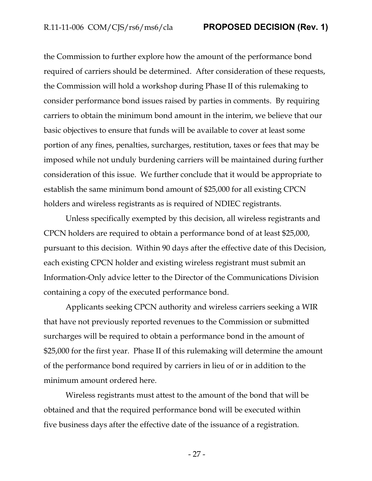R.11-11-006 COM/CJS/rs6/ms6/cla **PROPOSED DECISION (Rev. 1)**

the Commission to further explore how the amount of the performance bond required of carriers should be determined. After consideration of these requests, the Commission will hold a workshop during Phase II of this rulemaking to consider performance bond issues raised by parties in comments. By requiring carriers to obtain the minimum bond amount in the interim, we believe that our basic objectives to ensure that funds will be available to cover at least some portion of any fines, penalties, surcharges, restitution, taxes or fees that may be imposed while not unduly burdening carriers will be maintained during further consideration of this issue. We further conclude that it would be appropriate to establish the same minimum bond amount of \$25,000 for all existing CPCN holders and wireless registrants as is required of NDIEC registrants.

Unless specifically exempted by this decision, all wireless registrants and CPCN holders are required to obtain a performance bond of at least \$25,000, pursuant to this decision. Within 90 days after the effective date of this Decision, each existing CPCN holder and existing wireless registrant must submit an Information-Only advice letter to the Director of the Communications Division containing a copy of the executed performance bond.

Applicants seeking CPCN authority and wireless carriers seeking a WIR that have not previously reported revenues to the Commission or submitted surcharges will be required to obtain a performance bond in the amount of \$25,000 for the first year. Phase II of this rulemaking will determine the amount of the performance bond required by carriers in lieu of or in addition to the minimum amount ordered here.

Wireless registrants must attest to the amount of the bond that will be obtained and that the required performance bond will be executed within five business days after the effective date of the issuance of a registration.

- 27 -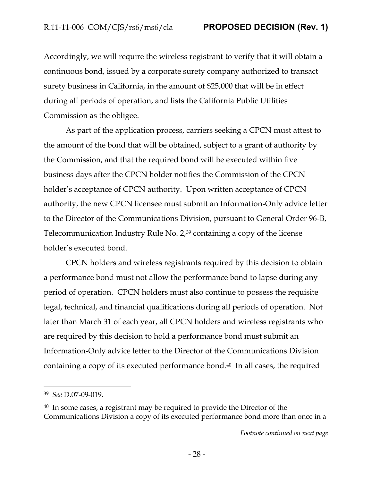Accordingly, we will require the wireless registrant to verify that it will obtain a continuous bond, issued by a corporate surety company authorized to transact surety business in California, in the amount of \$25,000 that will be in effect during all periods of operation, and lists the California Public Utilities Commission as the obligee.

As part of the application process, carriers seeking a CPCN must attest to the amount of the bond that will be obtained, subject to a grant of authority by the Commission, and that the required bond will be executed within five business days after the CPCN holder notifies the Commission of the CPCN holder's acceptance of CPCN authority. Upon written acceptance of CPCN authority, the new CPCN licensee must submit an Information-Only advice letter to the Director of the Communications Division, pursuant to General Order 96-B, Telecommunication Industry Rule No. 2,<sup>39</sup> containing a copy of the license holder's executed bond.

CPCN holders and wireless registrants required by this decision to obtain a performance bond must not allow the performance bond to lapse during any period of operation. CPCN holders must also continue to possess the requisite legal, technical, and financial qualifications during all periods of operation. Not later than March 31 of each year, all CPCN holders and wireless registrants who are required by this decision to hold a performance bond must submit an Information-Only advice letter to the Director of the Communications Division containing a copy of its executed performance bond.40 In all cases, the required

<sup>39</sup> *See* D.07-09-019.

<sup>40</sup> In some cases, a registrant may be required to provide the Director of the Communications Division a copy of its executed performance bond more than once in a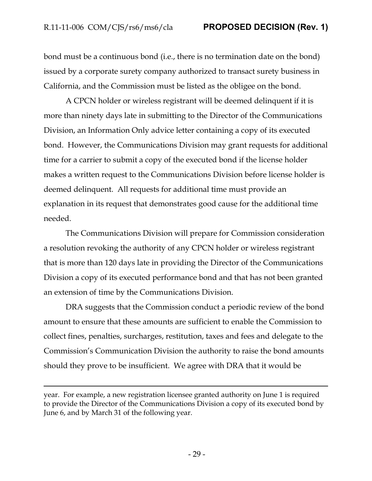bond must be a continuous bond (i.e., there is no termination date on the bond) issued by a corporate surety company authorized to transact surety business in California, and the Commission must be listed as the obligee on the bond.

A CPCN holder or wireless registrant will be deemed delinquent if it is more than ninety days late in submitting to the Director of the Communications Division, an Information Only advice letter containing a copy of its executed bond. However, the Communications Division may grant requests for additional time for a carrier to submit a copy of the executed bond if the license holder makes a written request to the Communications Division before license holder is deemed delinquent. All requests for additional time must provide an explanation in its request that demonstrates good cause for the additional time needed.

The Communications Division will prepare for Commission consideration a resolution revoking the authority of any CPCN holder or wireless registrant that is more than 120 days late in providing the Director of the Communications Division a copy of its executed performance bond and that has not been granted an extension of time by the Communications Division.

DRA suggests that the Commission conduct a periodic review of the bond amount to ensure that these amounts are sufficient to enable the Commission to collect fines, penalties, surcharges, restitution, taxes and fees and delegate to the Commission's Communication Division the authority to raise the bond amounts should they prove to be insufficient. We agree with DRA that it would be

year. For example, a new registration licensee granted authority on June 1 is required to provide the Director of the Communications Division a copy of its executed bond by June 6, and by March 31 of the following year.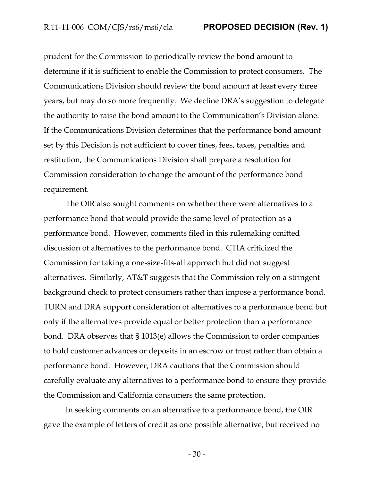R.11-11-006 COM/CJS/rs6/ms6/cla **PROPOSED DECISION (Rev. 1)**

prudent for the Commission to periodically review the bond amount to determine if it is sufficient to enable the Commission to protect consumers. The Communications Division should review the bond amount at least every three years, but may do so more frequently. We decline DRA's suggestion to delegate the authority to raise the bond amount to the Communication's Division alone. If the Communications Division determines that the performance bond amount set by this Decision is not sufficient to cover fines, fees, taxes, penalties and restitution, the Communications Division shall prepare a resolution for Commission consideration to change the amount of the performance bond requirement.

The OIR also sought comments on whether there were alternatives to a performance bond that would provide the same level of protection as a performance bond.However, comments filed in this rulemaking omitted discussion of alternatives to the performance bond. CTIA criticized the Commission for taking a one-size-fits-all approach but did not suggest alternatives. Similarly, AT&T suggests that the Commission rely on a stringent background check to protect consumers rather than impose a performance bond. TURN and DRA support consideration of alternatives to a performance bond but only if the alternatives provide equal or better protection than a performance bond. DRA observes that § 1013(e) allows the Commission to order companies to hold customer advances or deposits in an escrow or trust rather than obtain a performance bond. However, DRA cautions that the Commission should carefully evaluate any alternatives to a performance bond to ensure they provide the Commission and California consumers the same protection.

In seeking comments on an alternative to a performance bond, the OIR gave the example of letters of credit as one possible alternative, but received no

- 30 -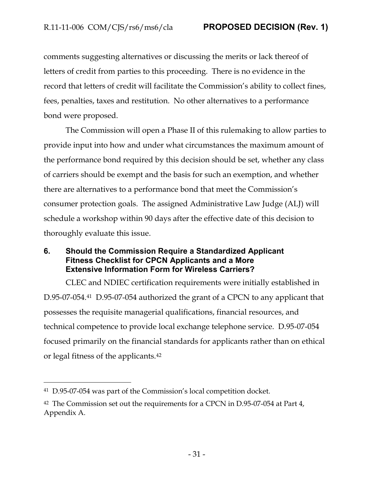comments suggesting alternatives or discussing the merits or lack thereof of letters of credit from parties to this proceeding. There is no evidence in the record that letters of credit will facilitate the Commission's ability to collect fines, fees, penalties, taxes and restitution. No other alternatives to a performance bond were proposed.

The Commission will open a Phase II of this rulemaking to allow parties to provide input into how and under what circumstances the maximum amount of the performance bond required by this decision should be set, whether any class of carriers should be exempt and the basis for such an exemption, and whether there are alternatives to a performance bond that meet the Commission's consumer protection goals. The assigned Administrative Law Judge (ALJ) will schedule a workshop within 90 days after the effective date of this decision to thoroughly evaluate this issue.

## <span id="page-31-0"></span>**6. Should the Commission Require a Standardized Applicant Fitness Checklist for CPCN Applicants and a More Extensive Information Form for Wireless Carriers?**

CLEC and NDIEC certification requirements were initially established in D.95-07-054.41 D.95-07-054 authorized the grant of a CPCN to any applicant that possesses the requisite managerial qualifications, financial resources, and technical competence to provide local exchange telephone service. D.95-07-054 focused primarily on the financial standards for applicants rather than on ethical or legal fitness of the applicants.<sup>42</sup>

<sup>41</sup> D.95-07-054 was part of the Commission's local competition docket.

<sup>&</sup>lt;sup>42</sup> The Commission set out the requirements for a CPCN in D.95-07-054 at Part 4, Appendix A.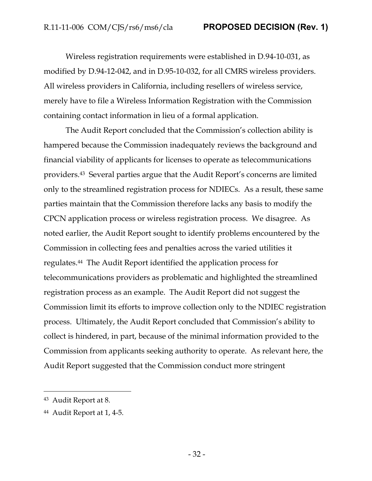Wireless registration requirements were established in D.94-10-031, as modified by D.94-12-042, and in D.95-10-032, for all CMRS wireless providers. All wireless providers in California, including resellers of wireless service, merely have to file a Wireless Information Registration with the Commission containing contact information in lieu of a formal application.

The Audit Report concluded that the Commission's collection ability is hampered because the Commission inadequately reviews the background and financial viability of applicants for licenses to operate as telecommunications providers.<sup>43</sup> Several parties argue that the Audit Report's concerns are limited only to the streamlined registration process for NDIECs. As a result, these same parties maintain that the Commission therefore lacks any basis to modify the CPCN application process or wireless registration process. We disagree. As noted earlier, the Audit Report sought to identify problems encountered by the Commission in collecting fees and penalties across the varied utilities it regulates.44 The Audit Report identified the application process for telecommunications providers as problematic and highlighted the streamlined registration process as an example. The Audit Report did not suggest the Commission limit its efforts to improve collection only to the NDIEC registration process. Ultimately, the Audit Report concluded that Commission's ability to collect is hindered, in part, because of the minimal information provided to the Commission from applicants seeking authority to operate. As relevant here, the Audit Report suggested that the Commission conduct more stringent

<sup>43</sup> Audit Report at 8.

<sup>44</sup> Audit Report at 1, 4-5.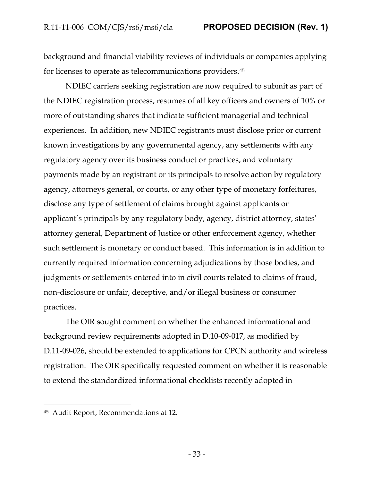background and financial viability reviews of individuals or companies applying for licenses to operate as telecommunications providers.<sup>45</sup>

NDIEC carriers seeking registration are now required to submit as part of the NDIEC registration process, resumes of all key officers and owners of 10% or more of outstanding shares that indicate sufficient managerial and technical experiences. In addition, new NDIEC registrants must disclose prior or current known investigations by any governmental agency, any settlements with any regulatory agency over its business conduct or practices, and voluntary payments made by an registrant or its principals to resolve action by regulatory agency, attorneys general, or courts, or any other type of monetary forfeitures, disclose any type of settlement of claims brought against applicants or applicant's principals by any regulatory body, agency, district attorney, states' attorney general, Department of Justice or other enforcement agency, whether such settlement is monetary or conduct based. This information is in addition to currently required information concerning adjudications by those bodies, and judgments or settlements entered into in civil courts related to claims of fraud, non-disclosure or unfair, deceptive, and/or illegal business or consumer practices.

The OIR sought comment on whether the enhanced informational and background review requirements adopted in D.10-09-017, as modified by D.11-09-026, should be extended to applications for CPCN authority and wireless registration. The OIR specifically requested comment on whether it is reasonable to extend the standardized informational checklists recently adopted in

<sup>45</sup> Audit Report, Recommendations at 12.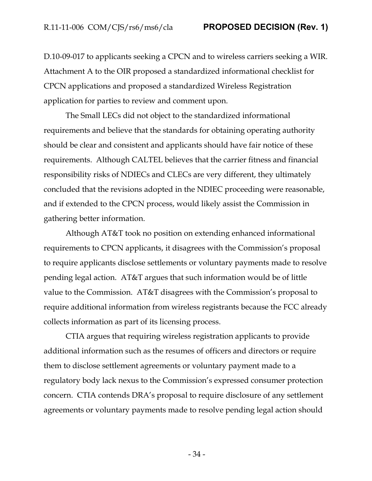D.10-09-017 to applicants seeking a CPCN and to wireless carriers seeking a WIR. Attachment A to the OIR proposed a standardized informational checklist for CPCN applications and proposed a standardized Wireless Registration application for parties to review and comment upon.

The Small LECs did not object to the standardized informational requirements and believe that the standards for obtaining operating authority should be clear and consistent and applicants should have fair notice of these requirements. Although CALTEL believes that the carrier fitness and financial responsibility risks of NDIECs and CLECs are very different, they ultimately concluded that the revisions adopted in the NDIEC proceeding were reasonable, and if extended to the CPCN process, would likely assist the Commission in gathering better information.

Although AT&T took no position on extending enhanced informational requirements to CPCN applicants, it disagrees with the Commission's proposal to require applicants disclose settlements or voluntary payments made to resolve pending legal action. AT&T argues that such information would be of little value to the Commission. AT&T disagrees with the Commission's proposal to require additional information from wireless registrants because the FCC already collects information as part of its licensing process.

CTIA argues that requiring wireless registration applicants to provide additional information such as the resumes of officers and directors or require them to disclose settlement agreements or voluntary payment made to a regulatory body lack nexus to the Commission's expressed consumer protection concern. CTIA contends DRA's proposal to require disclosure of any settlement agreements or voluntary payments made to resolve pending legal action should

- 34 -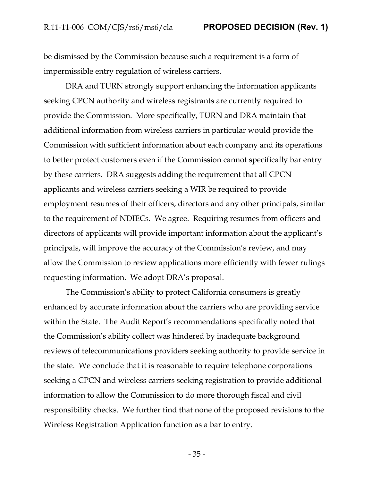be dismissed by the Commission because such a requirement is a form of impermissible entry regulation of wireless carriers.

DRA and TURN strongly support enhancing the information applicants seeking CPCN authority and wireless registrants are currently required to provide the Commission. More specifically, TURN and DRA maintain that additional information from wireless carriers in particular would provide the Commission with sufficient information about each company and its operations to better protect customers even if the Commission cannot specifically bar entry by these carriers. DRA suggests adding the requirement that all CPCN applicants and wireless carriers seeking a WIR be required to provide employment resumes of their officers, directors and any other principals, similar to the requirement of NDIECs. We agree. Requiring resumes from officers and directors of applicants will provide important information about the applicant's principals, will improve the accuracy of the Commission's review, and may allow the Commission to review applications more efficiently with fewer rulings requesting information. We adopt DRA's proposal.

The Commission's ability to protect California consumers is greatly enhanced by accurate information about the carriers who are providing service within the State. The Audit Report's recommendations specifically noted that the Commission's ability collect was hindered by inadequate background reviews of telecommunications providers seeking authority to provide service in the state. We conclude that it is reasonable to require telephone corporations seeking a CPCN and wireless carriers seeking registration to provide additional information to allow the Commission to do more thorough fiscal and civil responsibility checks. We further find that none of the proposed revisions to the Wireless Registration Application function as a bar to entry.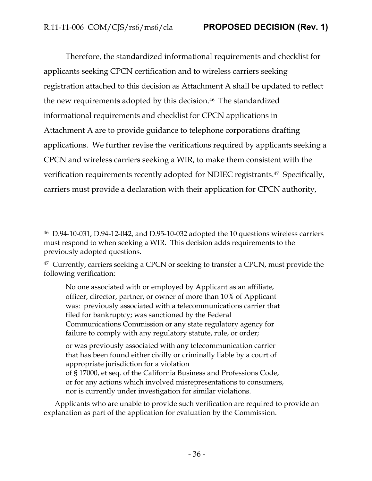Therefore, the standardized informational requirements and checklist for applicants seeking CPCN certification and to wireless carriers seeking registration attached to this decision as Attachment A shall be updated to reflect the new requirements adopted by this decision. <sup>46</sup> The standardized informational requirements and checklist for CPCN applications in Attachment A are to provide guidance to telephone corporations drafting applications. We further revise the verifications required by applicants seeking a CPCN and wireless carriers seeking a WIR, to make them consistent with the verification requirements recently adopted for NDIEC registrants.<sup>47</sup> Specifically, carriers must provide a declaration with their application for CPCN authority,

No one associated with or employed by Applicant as an affiliate, officer, director, partner, or owner of more than 10% of Applicant was: previously associated with a telecommunications carrier that filed for bankruptcy; was sanctioned by the Federal Communications Commission or any state regulatory agency for failure to comply with any regulatory statute, rule, or order;

or was previously associated with any telecommunication carrier that has been found either civilly or criminally liable by a court of appropriate jurisdiction for a violation of § 17000, et seq*.* of the California Business and Professions Code,

or for any actions which involved misrepresentations to consumers, nor is currently under investigation for similar violations.

Applicants who are unable to provide such verification are required to provide an explanation as part of the application for evaluation by the Commission.

<sup>46</sup> D.94-10-031, D.94-12-042, and D.95-10-032 adopted the 10 questions wireless carriers must respond to when seeking a WIR. This decision adds requirements to the previously adopted questions.

<sup>&</sup>lt;sup>47</sup> Currently, carriers seeking a CPCN or seeking to transfer a CPCN, must provide the following verification: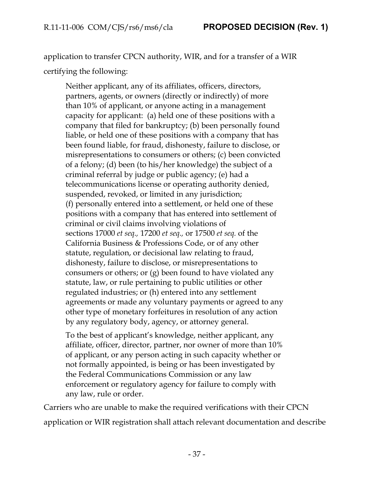application to transfer CPCN authority, WIR, and for a transfer of a WIR certifying the following:

Neither applicant, any of its affiliates, officers, directors, partners, agents, or owners (directly or indirectly) of more than 10% of applicant, or anyone acting in a management capacity for applicant: (a) held one of these positions with a company that filed for bankruptcy; (b) been personally found liable, or held one of these positions with a company that has been found liable, for fraud, dishonesty, failure to disclose, or misrepresentations to consumers or others; (c) been convicted of a felony; (d) been (to his/her knowledge) the subject of a criminal referral by judge or public agency; (e) had a telecommunications license or operating authority denied, suspended, revoked, or limited in any jurisdiction; (f) personally entered into a settlement, or held one of these positions with a company that has entered into settlement of criminal or civil claims involving violations of sections 17000 *et seq.,* 17200 *et seq.,* or 17500 *et seq.* of the California Business & Professions Code, or of any other statute, regulation, or decisional law relating to fraud, dishonesty, failure to disclose, or misrepresentations to consumers or others; or (g) been found to have violated any statute, law, or rule pertaining to public utilities or other regulated industries; or (h) entered into any settlement agreements or made any voluntary payments or agreed to any other type of monetary forfeitures in resolution of any action by any regulatory body, agency, or attorney general.

To the best of applicant's knowledge, neither applicant, any affiliate, officer, director, partner, nor owner of more than 10% of applicant, or any person acting in such capacity whether or not formally appointed, is being or has been investigated by the Federal Communications Commission or any law enforcement or regulatory agency for failure to comply with any law, rule or order.

Carriers who are unable to make the required verifications with their CPCN application or WIR registration shall attach relevant documentation and describe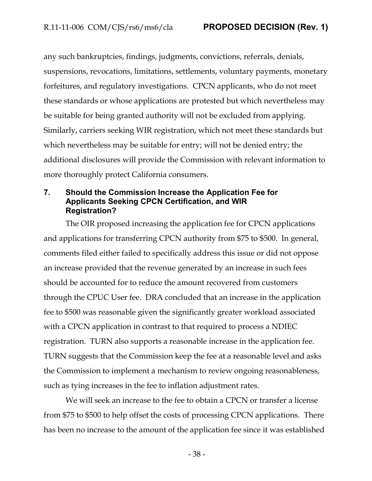any such bankruptcies, findings, judgments, convictions, referrals, denials, suspensions, revocations, limitations, settlements, voluntary payments, monetary forfeitures, and regulatory investigations. CPCN applicants, who do not meet these standards or whose applications are protested but which nevertheless may be suitable for being granted authority will not be excluded from applying. Similarly, carriers seeking WIR registration, which not meet these standards but which nevertheless may be suitable for entry; will not be denied entry; the additional disclosures will provide the Commission with relevant information to more thoroughly protect California consumers.

#### <span id="page-38-0"></span>**7. Should the Commission Increase the Application Fee for Applicants Seeking CPCN Certification, and WIR Registration?**

The OIR proposed increasing the application fee for CPCN applications and applications for transferring CPCN authority from \$75 to \$500. In general, comments filed either failed to specifically address this issue or did not oppose an increase provided that the revenue generated by an increase in such fees should be accounted for to reduce the amount recovered from customers through the CPUC User fee. DRA concluded that an increase in the application fee to \$500 was reasonable given the significantly greater workload associated with a CPCN application in contrast to that required to process a NDIEC registration. TURN also supports a reasonable increase in the application fee. TURN suggests that the Commission keep the fee at a reasonable level and asks the Commission to implement a mechanism to review ongoing reasonableness, such as tying increases in the fee to inflation adjustment rates.

We will seek an increase to the fee to obtain a CPCN or transfer a license from \$75 to \$500 to help offset the costs of processing CPCN applications. There has been no increase to the amount of the application fee since it was established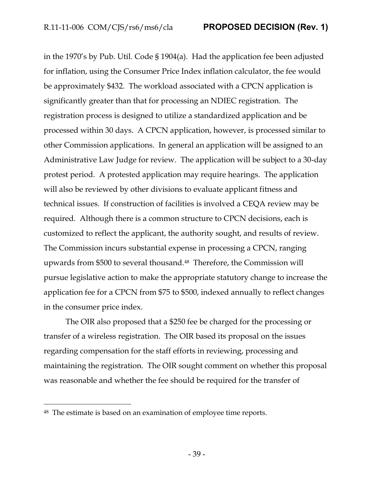in the 1970's by Pub. Util. Code § 1904(a). Had the application fee been adjusted for inflation, using the Consumer Price Index inflation calculator, the fee would be approximately \$432. The workload associated with a CPCN application is significantly greater than that for processing an NDIEC registration. The registration process is designed to utilize a standardized application and be processed within 30 days. A CPCN application, however, is processed similar to other Commission applications. In general an application will be assigned to an Administrative Law Judge for review. The application will be subject to a 30-day protest period. A protested application may require hearings. The application will also be reviewed by other divisions to evaluate applicant fitness and technical issues. If construction of facilities is involved a CEQA review may be required. Although there is a common structure to CPCN decisions, each is customized to reflect the applicant, the authority sought, and results of review. The Commission incurs substantial expense in processing a CPCN, ranging upwards from \$500 to several thousand.<sup>48</sup>Therefore, the Commission will pursue legislative action to make the appropriate statutory change to increase the application fee for a CPCN from \$75 to \$500, indexed annually to reflect changes in the consumer price index.

The OIR also proposed that a \$250 fee be charged for the processing or transfer of a wireless registration. The OIR based its proposal on the issues regarding compensation for the staff efforts in reviewing, processing and maintaining the registration. The OIR sought comment on whether this proposal was reasonable and whether the fee should be required for the transfer of

<sup>48</sup> The estimate is based on an examination of employee time reports.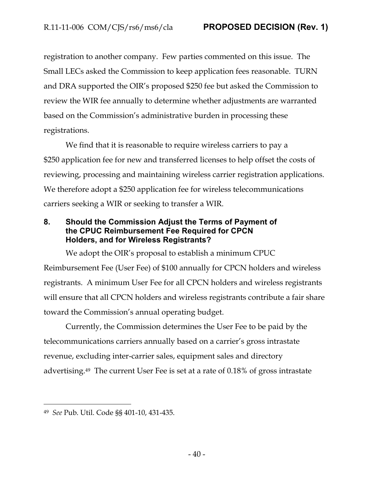registration to another company. Few parties commented on this issue. The Small LECs asked the Commission to keep application fees reasonable. TURN and DRA supported the OIR's proposed \$250 fee but asked the Commission to review the WIR fee annually to determine whether adjustments are warranted based on the Commission's administrative burden in processing these registrations.

We find that it is reasonable to require wireless carriers to pay a \$250 application fee for new and transferred licenses to help offset the costs of reviewing, processing and maintaining wireless carrier registration applications. We therefore adopt a \$250 application fee for wireless telecommunications carriers seeking a WIR or seeking to transfer a WIR.

<span id="page-40-0"></span>**8. Should the Commission Adjust the Terms of Payment of the CPUC Reimbursement Fee Required for CPCN Holders, and for Wireless Registrants?** 

We adopt the OIR's proposal to establish a minimum CPUC Reimbursement Fee (User Fee) of \$100 annually for CPCN holders and wireless registrants. A minimum User Fee for all CPCN holders and wireless registrants will ensure that all CPCN holders and wireless registrants contribute a fair share toward the Commission's annual operating budget.

Currently, the Commission determines the User Fee to be paid by the telecommunications carriers annually based on a carrier's gross intrastate revenue, excluding inter-carrier sales, equipment sales and directory advertising.49 The current User Fee is set at a rate of 0.18% of gross intrastate

<sup>49</sup> *See* Pub. Util. Code §§ 401-10, 431-435.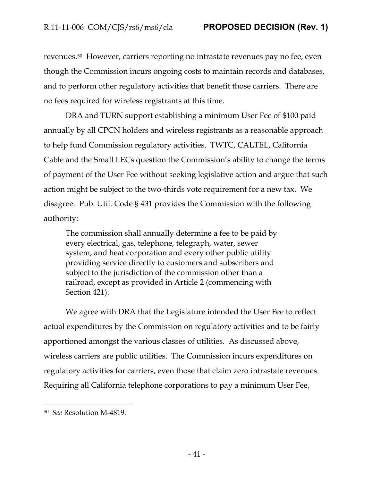revenues.50 However, carriers reporting no intrastate revenues pay no fee, even though the Commission incurs ongoing costs to maintain records and databases, and to perform other regulatory activities that benefit those carriers. There are no fees required for wireless registrants at this time.

DRA and TURN support establishing a minimum User Fee of \$100 paid annually by all CPCN holders and wireless registrants as a reasonable approach to help fund Commission regulatory activities. TWTC, CALTEL, California Cable and the Small LECs question the Commission's ability to change the terms of payment of the User Fee without seeking legislative action and argue that such action might be subject to the two-thirds vote requirement for a new tax. We disagree. Pub. Util. Code § 431 provides the Commission with the following authority:

The commission shall annually determine a fee to be paid by every electrical, gas, telephone, telegraph, water, sewer system, and heat corporation and every other public utility providing service directly to customers and subscribers and subject to the jurisdiction of the commission other than a railroad, except as provided in Article 2 (commencing with Section 421).

We agree with DRA that the Legislature intended the User Fee to reflect actual expenditures by the Commission on regulatory activities and to be fairly apportioned amongst the various classes of utilities. As discussed above, wireless carriers are public utilities. The Commission incurs expenditures on regulatory activities for carriers, even those that claim zero intrastate revenues. Requiring all California telephone corporations to pay a minimum User Fee,

<sup>50</sup> *See* Resolution M-4819.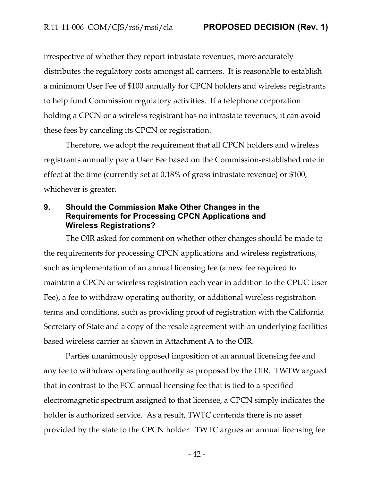irrespective of whether they report intrastate revenues, more accurately distributes the regulatory costs amongst all carriers. It is reasonable to establish a minimum User Fee of \$100 annually for CPCN holders and wireless registrants to help fund Commission regulatory activities. If a telephone corporation holding a CPCN or a wireless registrant has no intrastate revenues, it can avoid these fees by canceling its CPCN or registration.

Therefore, we adopt the requirement that all CPCN holders and wireless registrants annually pay a User Fee based on the Commission-established rate in effect at the time (currently set at 0.18% of gross intrastate revenue) or \$100, whichever is greater.

#### <span id="page-42-0"></span>**9. Should the Commission Make Other Changes in the Requirements for Processing CPCN Applications and Wireless Registrations?**

The OIR asked for comment on whether other changes should be made to the requirements for processing CPCN applications and wireless registrations, such as implementation of an annual licensing fee (a new fee required to maintain a CPCN or wireless registration each year in addition to the CPUC User Fee), a fee to withdraw operating authority, or additional wireless registration terms and conditions, such as providing proof of registration with the California Secretary of State and a copy of the resale agreement with an underlying facilities based wireless carrier as shown in Attachment A to the OIR.

Parties unanimously opposed imposition of an annual licensing fee and any fee to withdraw operating authority as proposed by the OIR. TWTW argued that in contrast to the FCC annual licensing fee that is tied to a specified electromagnetic spectrum assigned to that licensee, a CPCN simply indicates the holder is authorized service. As a result, TWTC contends there is no asset provided by the state to the CPCN holder. TWTC argues an annual licensing fee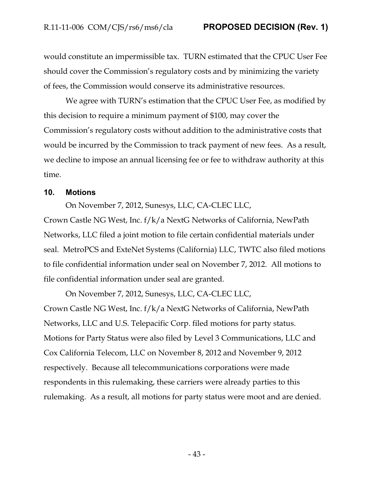would constitute an impermissible tax. TURN estimated that the CPUC User Fee should cover the Commission's regulatory costs and by minimizing the variety of fees, the Commission would conserve its administrative resources.

We agree with TURN's estimation that the CPUC User Fee, as modified by this decision to require a minimum payment of \$100, may cover the Commission's regulatory costs without addition to the administrative costs that would be incurred by the Commission to track payment of new fees. As a result, we decline to impose an annual licensing fee or fee to withdraw authority at this time.

#### <span id="page-43-0"></span>**10. Motions**

On November 7, 2012, Sunesys, LLC, CA-CLEC LLC,

Crown Castle NG West, Inc. f/k/a NextG Networks of California, NewPath Networks, LLC filed a joint motion to file certain confidential materials under seal. MetroPCS and ExteNet Systems (California) LLC, TWTC also filed motions to file confidential information under seal on November 7, 2012. All motions to file confidential information under seal are granted.

On November 7, 2012, Sunesys, LLC, CA-CLEC LLC, Crown Castle NG West, Inc. f/k/a NextG Networks of California, NewPath Networks, LLC and U.S. Telepacific Corp. filed motions for party status. Motions for Party Status were also filed by Level 3 Communications, LLC and Cox California Telecom, LLC on November 8, 2012 and November 9, 2012 respectively. Because all telecommunications corporations were made respondents in this rulemaking, these carriers were already parties to this rulemaking. As a result, all motions for party status were moot and are denied.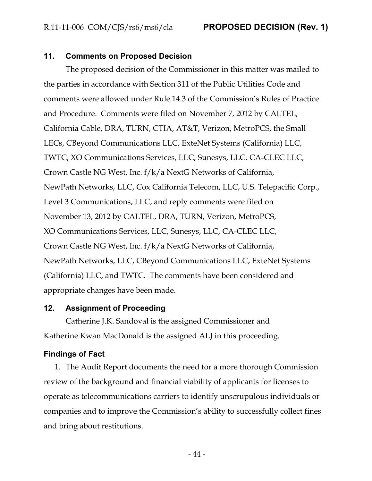#### <span id="page-44-0"></span>**11. Comments on Proposed Decision**

The proposed decision of the Commissioner in this matter was mailed to the parties in accordance with Section 311 of the Public Utilities Code and comments were allowed under Rule 14.3 of the Commission's Rules of Practice and Procedure. Comments were filed on November 7, 2012 by CALTEL, California Cable, DRA, TURN, CTIA, AT&T, Verizon, MetroPCS, the Small LECs, CBeyond Communications LLC, ExteNet Systems (California) LLC, TWTC, XO Communications Services, LLC, Sunesys, LLC, CA-CLEC LLC, Crown Castle NG West, Inc. f/k/a NextG Networks of California, NewPath Networks, LLC, Cox California Telecom, LLC, U.S. Telepacific Corp., Level 3 Communications, LLC, and reply comments were filed on November 13, 2012 by CALTEL, DRA, TURN, Verizon, MetroPCS, XO Communications Services, LLC, Sunesys, LLC, CA-CLEC LLC, Crown Castle NG West, Inc. f/k/a NextG Networks of California, NewPath Networks, LLC, CBeyond Communications LLC, ExteNet Systems (California) LLC, and TWTC. The comments have been considered and appropriate changes have been made.

#### <span id="page-44-1"></span>**12. Assignment of Proceeding**

Catherine J.K. Sandoval is the assigned Commissioner and Katherine Kwan MacDonald is the assigned ALJ in this proceeding.

# <span id="page-44-2"></span>**Findings of Fact**

1. The Audit Report documents the need for a more thorough Commission review of the background and financial viability of applicants for licenses to operate as telecommunications carriers to identify unscrupulous individuals or companies and to improve the Commission's ability to successfully collect fines and bring about restitutions.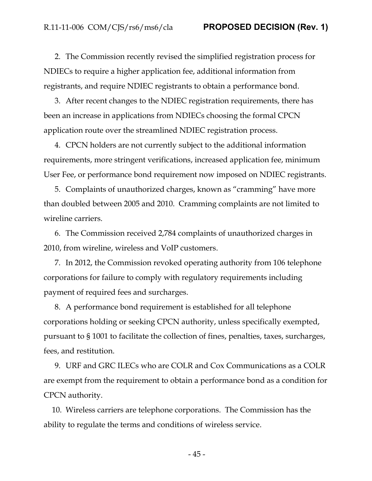2. The Commission recently revised the simplified registration process for NDIECs to require a higher application fee, additional information from registrants, and require NDIEC registrants to obtain a performance bond.

3. After recent changes to the NDIEC registration requirements, there has been an increase in applications from NDIECs choosing the formal CPCN application route over the streamlined NDIEC registration process.

4. CPCN holders are not currently subject to the additional information requirements, more stringent verifications, increased application fee, minimum User Fee, or performance bond requirement now imposed on NDIEC registrants.

5. Complaints of unauthorized charges, known as "cramming" have more than doubled between 2005 and 2010. Cramming complaints are not limited to wireline carriers.

6. The Commission received 2,784 complaints of unauthorized charges in 2010, from wireline, wireless and VoIP customers.

7. In 2012, the Commission revoked operating authority from 106 telephone corporations for failure to comply with regulatory requirements including payment of required fees and surcharges.

8. A performance bond requirement is established for all telephone corporations holding or seeking CPCN authority, unless specifically exempted, pursuant to § 1001 to facilitate the collection of fines, penalties, taxes, surcharges, fees, and restitution.

9. URF and GRC ILECs who are COLR and Cox Communications as a COLR are exempt from the requirement to obtain a performance bond as a condition for CPCN authority.

10. Wireless carriers are telephone corporations. The Commission has the ability to regulate the terms and conditions of wireless service.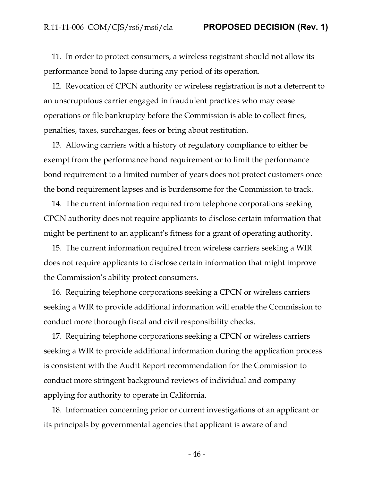11. In order to protect consumers, a wireless registrant should not allow its performance bond to lapse during any period of its operation.

12. Revocation of CPCN authority or wireless registration is not a deterrent to an unscrupulous carrier engaged in fraudulent practices who may cease operations or file bankruptcy before the Commission is able to collect fines, penalties, taxes, surcharges, fees or bring about restitution.

13. Allowing carriers with a history of regulatory compliance to either be exempt from the performance bond requirement or to limit the performance bond requirement to a limited number of years does not protect customers once the bond requirement lapses and is burdensome for the Commission to track.

14. The current information required from telephone corporations seeking CPCN authority does not require applicants to disclose certain information that might be pertinent to an applicant's fitness for a grant of operating authority.

15. The current information required from wireless carriers seeking a WIR does not require applicants to disclose certain information that might improve the Commission's ability protect consumers.

16. Requiring telephone corporations seeking a CPCN or wireless carriers seeking a WIR to provide additional information will enable the Commission to conduct more thorough fiscal and civil responsibility checks.

17. Requiring telephone corporations seeking a CPCN or wireless carriers seeking a WIR to provide additional information during the application process is consistent with the Audit Report recommendation for the Commission to conduct more stringent background reviews of individual and company applying for authority to operate in California.

18. Information concerning prior or current investigations of an applicant or its principals by governmental agencies that applicant is aware of and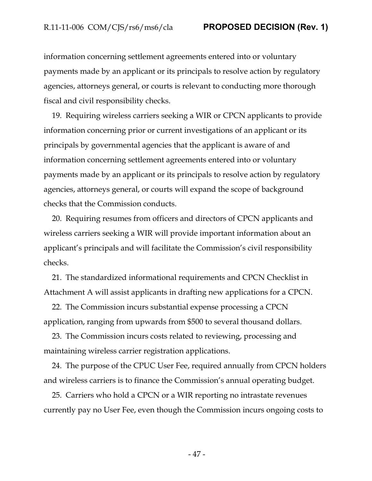information concerning settlement agreements entered into or voluntary payments made by an applicant or its principals to resolve action by regulatory agencies, attorneys general, or courts is relevant to conducting more thorough fiscal and civil responsibility checks.

19. Requiring wireless carriers seeking a WIR or CPCN applicants to provide information concerning prior or current investigations of an applicant or its principals by governmental agencies that the applicant is aware of and information concerning settlement agreements entered into or voluntary payments made by an applicant or its principals to resolve action by regulatory agencies, attorneys general, or courts will expand the scope of background checks that the Commission conducts.

20. Requiring resumes from officers and directors of CPCN applicants and wireless carriers seeking a WIR will provide important information about an applicant's principals and will facilitate the Commission's civil responsibility checks.

21. The standardized informational requirements and CPCN Checklist in Attachment A will assist applicants in drafting new applications for a CPCN.

22. The Commission incurs substantial expense processing a CPCN application, ranging from upwards from \$500 to several thousand dollars.

23. The Commission incurs costs related to reviewing, processing and maintaining wireless carrier registration applications.

24. The purpose of the CPUC User Fee, required annually from CPCN holders and wireless carriers is to finance the Commission's annual operating budget.

25. Carriers who hold a CPCN or a WIR reporting no intrastate revenues currently pay no User Fee, even though the Commission incurs ongoing costs to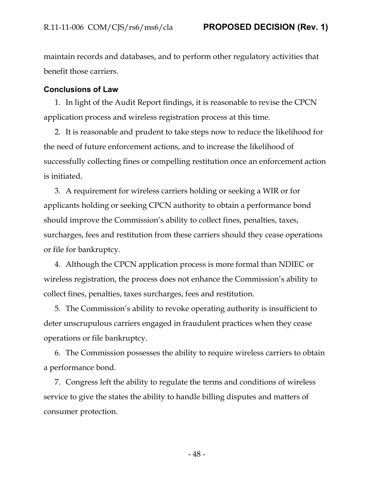maintain records and databases, and to perform other regulatory activities that benefit those carriers.

#### <span id="page-48-0"></span>**Conclusions of Law**

1. In light of the Audit Report findings, it is reasonable to revise the CPCN application process and wireless registration process at this time.

2. It is reasonable and prudent to take steps now to reduce the likelihood for the need of future enforcement actions, and to increase the likelihood of successfully collecting fines or compelling restitution once an enforcement action is initiated.

3. A requirement for wireless carriers holding or seeking a WIR or for applicants holding or seeking CPCN authority to obtain a performance bond should improve the Commission's ability to collect fines, penalties, taxes, surcharges, fees and restitution from these carriers should they cease operations or file for bankruptcy.

4. Although the CPCN application process is more formal than NDIEC or wireless registration, the process does not enhance the Commission's ability to collect fines, penalties, taxes surcharges, fees and restitution.

5. The Commission's ability to revoke operating authority is insufficient to deter unscrupulous carriers engaged in fraudulent practices when they cease operations or file bankruptcy.

6. The Commission possesses the ability to require wireless carriers to obtain a performance bond.

7. Congress left the ability to regulate the terms and conditions of wireless service to give the states the ability to handle billing disputes and matters of consumer protection.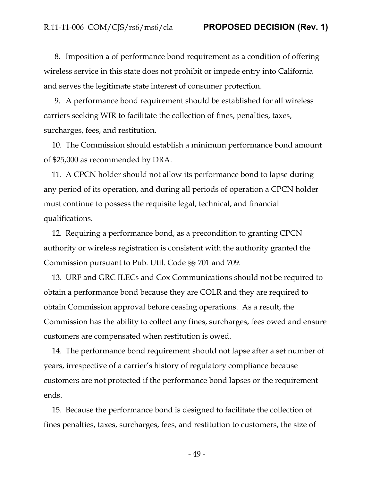8. Imposition a of performance bond requirement as a condition of offering wireless service in this state does not prohibit or impede entry into California and serves the legitimate state interest of consumer protection.

9. A performance bond requirement should be established for all wireless carriers seeking WIR to facilitate the collection of fines, penalties, taxes, surcharges, fees, and restitution.

10. The Commission should establish a minimum performance bond amount of \$25,000 as recommended by DRA.

11. A CPCN holder should not allow its performance bond to lapse during any period of its operation, and during all periods of operation a CPCN holder must continue to possess the requisite legal, technical, and financial qualifications.

12. Requiring a performance bond, as a precondition to granting CPCN authority or wireless registration is consistent with the authority granted the Commission pursuant to Pub. Util. Code §§ 701 and 709.

13. URF and GRC ILECs and Cox Communications should not be required to obtain a performance bond because they are COLR and they are required to obtain Commission approval before ceasing operations. As a result, the Commission has the ability to collect any fines, surcharges, fees owed and ensure customers are compensated when restitution is owed.

14. The performance bond requirement should not lapse after a set number of years, irrespective of a carrier's history of regulatory compliance because customers are not protected if the performance bond lapses or the requirement ends.

15. Because the performance bond is designed to facilitate the collection of fines penalties, taxes, surcharges, fees, and restitution to customers, the size of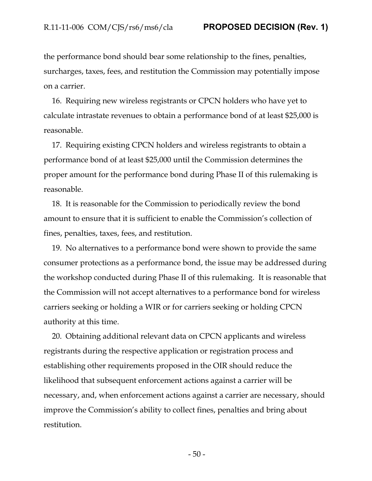the performance bond should bear some relationship to the fines, penalties, surcharges, taxes, fees, and restitution the Commission may potentially impose on a carrier.

16. Requiring new wireless registrants or CPCN holders who have yet to calculate intrastate revenues to obtain a performance bond of at least \$25,000 is reasonable.

17. Requiring existing CPCN holders and wireless registrants to obtain a performance bond of at least \$25,000 until the Commission determines the proper amount for the performance bond during Phase II of this rulemaking is reasonable.

18. It is reasonable for the Commission to periodically review the bond amount to ensure that it is sufficient to enable the Commission's collection of fines, penalties, taxes, fees, and restitution.

19. No alternatives to a performance bond were shown to provide the same consumer protections as a performance bond, the issue may be addressed during the workshop conducted during Phase II of this rulemaking. It is reasonable that the Commission will not accept alternatives to a performance bond for wireless carriers seeking or holding a WIR or for carriers seeking or holding CPCN authority at this time.

20. Obtaining additional relevant data on CPCN applicants and wireless registrants during the respective application or registration process and establishing other requirements proposed in the OIR should reduce the likelihood that subsequent enforcement actions against a carrier will be necessary, and, when enforcement actions against a carrier are necessary, should improve the Commission's ability to collect fines, penalties and bring about restitution.

- 50 -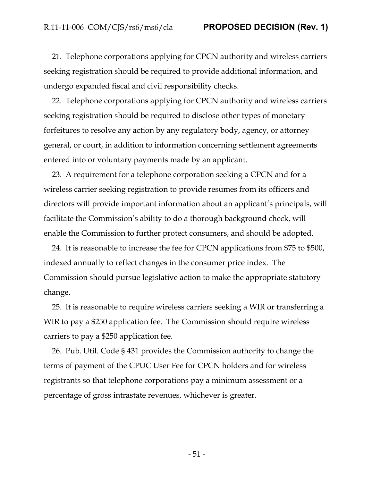21. Telephone corporations applying for CPCN authority and wireless carriers seeking registration should be required to provide additional information, and undergo expanded fiscal and civil responsibility checks.

22. Telephone corporations applying for CPCN authority and wireless carriers seeking registration should be required to disclose other types of monetary forfeitures to resolve any action by any regulatory body, agency, or attorney general, or court, in addition to information concerning settlement agreements entered into or voluntary payments made by an applicant.

23. A requirement for a telephone corporation seeking a CPCN and for a wireless carrier seeking registration to provide resumes from its officers and directors will provide important information about an applicant's principals, will facilitate the Commission's ability to do a thorough background check, will enable the Commission to further protect consumers, and should be adopted.

24. It is reasonable to increase the fee for CPCN applications from \$75 to \$500, indexed annually to reflect changes in the consumer price index. The Commission should pursue legislative action to make the appropriate statutory change.

25. It is reasonable to require wireless carriers seeking a WIR or transferring a WIR to pay a \$250 application fee. The Commission should require wireless carriers to pay a \$250 application fee.

26. Pub. Util. Code § 431 provides the Commission authority to change the terms of payment of the CPUC User Fee for CPCN holders and for wireless registrants so that telephone corporations pay a minimum assessment or a percentage of gross intrastate revenues, whichever is greater.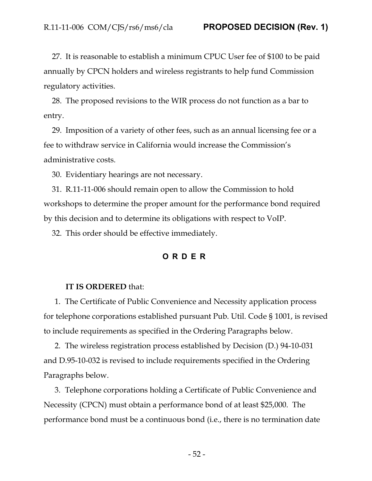27. It is reasonable to establish a minimum CPUC User fee of \$100 to be paid annually by CPCN holders and wireless registrants to help fund Commission regulatory activities.

28. The proposed revisions to the WIR process do not function as a bar to entry.

29. Imposition of a variety of other fees, such as an annual licensing fee or a fee to withdraw service in California would increase the Commission's administrative costs.

30. Evidentiary hearings are not necessary.

31. R.11-11-006 should remain open to allow the Commission to hold workshops to determine the proper amount for the performance bond required by this decision and to determine its obligations with respect to VoIP.

<span id="page-52-0"></span>32. This order should be effective immediately.

# **ORDER**

#### **IT IS ORDERED** that:

1. The Certificate of Public Convenience and Necessity application process for telephone corporations established pursuant Pub. Util. Code § 1001, is revised to include requirements as specified in the Ordering Paragraphs below.

2. The wireless registration process established by Decision (D.) 94-10-031 and D.95-10-032 is revised to include requirements specified in the Ordering Paragraphs below.

3. Telephone corporations holding a Certificate of Public Convenience and Necessity (CPCN) must obtain a performance bond of at least \$25,000. The performance bond must be a continuous bond (i.e., there is no termination date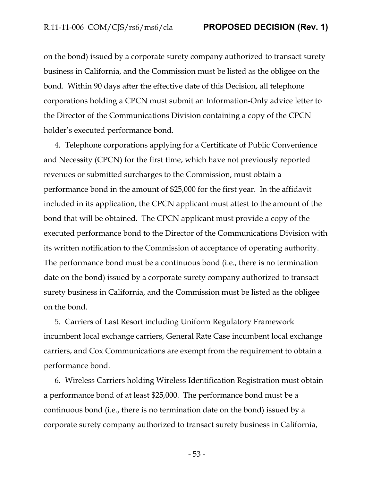on the bond) issued by a corporate surety company authorized to transact surety business in California, and the Commission must be listed as the obligee on the bond. Within 90 days after the effective date of this Decision, all telephone corporations holding a CPCN must submit an Information-Only advice letter to the Director of the Communications Division containing a copy of the CPCN holder's executed performance bond.

4. Telephone corporations applying for a Certificate of Public Convenience and Necessity (CPCN) for the first time, which have not previously reported revenues or submitted surcharges to the Commission, must obtain a performance bond in the amount of \$25,000 for the first year. In the affidavit included in its application, the CPCN applicant must attest to the amount of the bond that will be obtained. The CPCN applicant must provide a copy of the executed performance bond to the Director of the Communications Division with its written notification to the Commission of acceptance of operating authority. The performance bond must be a continuous bond (i.e., there is no termination date on the bond) issued by a corporate surety company authorized to transact surety business in California, and the Commission must be listed as the obligee on the bond.

5. Carriers of Last Resort including Uniform Regulatory Framework incumbent local exchange carriers, General Rate Case incumbent local exchange carriers, and Cox Communications are exempt from the requirement to obtain a performance bond.

6. Wireless Carriers holding Wireless Identification Registration must obtain a performance bond of at least \$25,000. The performance bond must be a continuous bond (i.e., there is no termination date on the bond) issued by a corporate surety company authorized to transact surety business in California,

- 53 -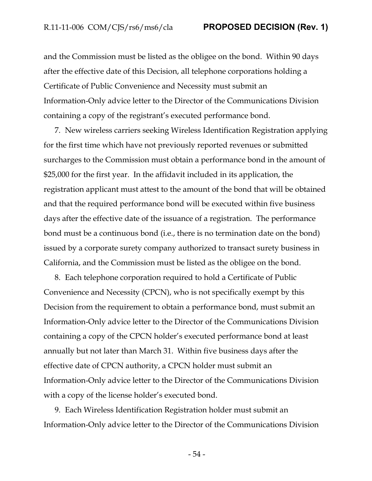and the Commission must be listed as the obligee on the bond. Within 90 days after the effective date of this Decision, all telephone corporations holding a Certificate of Public Convenience and Necessity must submit an Information-Only advice letter to the Director of the Communications Division containing a copy of the registrant's executed performance bond.

7. New wireless carriers seeking Wireless Identification Registration applying for the first time which have not previously reported revenues or submitted surcharges to the Commission must obtain a performance bond in the amount of \$25,000 for the first year. In the affidavit included in its application, the registration applicant must attest to the amount of the bond that will be obtained and that the required performance bond will be executed within five business days after the effective date of the issuance of a registration. The performance bond must be a continuous bond (i.e., there is no termination date on the bond) issued by a corporate surety company authorized to transact surety business in California, and the Commission must be listed as the obligee on the bond.

8. Each telephone corporation required to hold a Certificate of Public Convenience and Necessity (CPCN), who is not specifically exempt by this Decision from the requirement to obtain a performance bond, must submit an Information-Only advice letter to the Director of the Communications Division containing a copy of the CPCN holder's executed performance bond at least annually but not later than March 31. Within five business days after the effective date of CPCN authority, a CPCN holder must submit an Information-Only advice letter to the Director of the Communications Division with a copy of the license holder's executed bond.

9. Each Wireless Identification Registration holder must submit an Information-Only advice letter to the Director of the Communications Division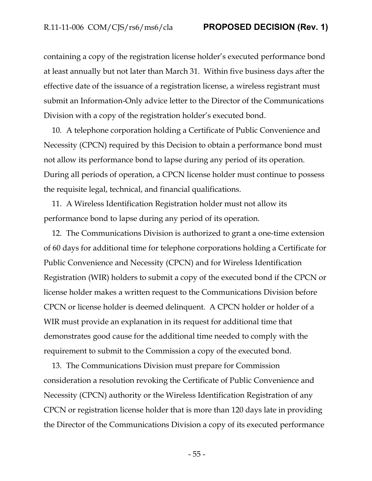containing a copy of the registration license holder's executed performance bond at least annually but not later than March 31. Within five business days after the effective date of the issuance of a registration license, a wireless registrant must submit an Information-Only advice letter to the Director of the Communications Division with a copy of the registration holder's executed bond.

10. A telephone corporation holding a Certificate of Public Convenience and Necessity (CPCN) required by this Decision to obtain a performance bond must not allow its performance bond to lapse during any period of its operation. During all periods of operation, a CPCN license holder must continue to possess the requisite legal, technical, and financial qualifications.

11. A Wireless Identification Registration holder must not allow its performance bond to lapse during any period of its operation.

12. The Communications Division is authorized to grant a one-time extension of 60 days for additional time for telephone corporations holding a Certificate for Public Convenience and Necessity (CPCN) and for Wireless Identification Registration (WIR) holders to submit a copy of the executed bond if the CPCN or license holder makes a written request to the Communications Division before CPCN or license holder is deemed delinquent. A CPCN holder or holder of a WIR must provide an explanation in its request for additional time that demonstrates good cause for the additional time needed to comply with the requirement to submit to the Commission a copy of the executed bond.

13. The Communications Division must prepare for Commission consideration a resolution revoking the Certificate of Public Convenience and Necessity (CPCN) authority or the Wireless Identification Registration of any CPCN or registration license holder that is more than 120 days late in providing the Director of the Communications Division a copy of its executed performance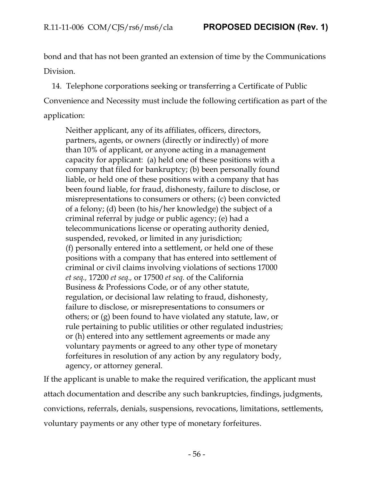bond and that has not been granted an extension of time by the Communications Division.

14. Telephone corporations seeking or transferring a Certificate of Public Convenience and Necessity must include the following certification as part of the application:

Neither applicant, any of its affiliates, officers, directors, partners, agents, or owners (directly or indirectly) of more than 10% of applicant, or anyone acting in a management capacity for applicant: (a) held one of these positions with a company that filed for bankruptcy; (b) been personally found liable, or held one of these positions with a company that has been found liable, for fraud, dishonesty, failure to disclose, or misrepresentations to consumers or others; (c) been convicted of a felony; (d) been (to his/her knowledge) the subject of a criminal referral by judge or public agency; (e) had a telecommunications license or operating authority denied, suspended, revoked, or limited in any jurisdiction; (f) personally entered into a settlement, or held one of these positions with a company that has entered into settlement of criminal or civil claims involving violations of sections 17000 *et seq.,* 17200 *et seq.,* or 17500 *et seq.* of the California Business & Professions Code, or of any other statute, regulation, or decisional law relating to fraud, dishonesty, failure to disclose, or misrepresentations to consumers or others; or (g) been found to have violated any statute, law, or rule pertaining to public utilities or other regulated industries; or (h) entered into any settlement agreements or made any voluntary payments or agreed to any other type of monetary forfeitures in resolution of any action by any regulatory body, agency, or attorney general.

If the applicant is unable to make the required verification, the applicant must attach documentation and describe any such bankruptcies, findings, judgments, convictions, referrals, denials, suspensions, revocations, limitations, settlements, voluntary payments or any other type of monetary forfeitures.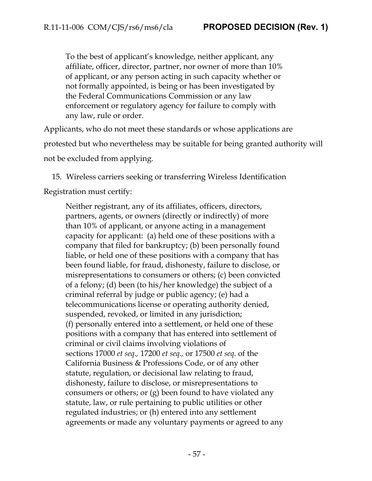To the best of applicant's knowledge, neither applicant, any affiliate, officer, director, partner, nor owner of more than 10% of applicant, or any person acting in such capacity whether or not formally appointed, is being or has been investigated by the Federal Communications Commission or any law enforcement or regulatory agency for failure to comply with any law, rule or order.

Applicants, who do not meet these standards or whose applications are protested but who nevertheless may be suitable for being granted authority will not be excluded from applying.

15. Wireless carriers seeking or transferring Wireless Identification

Registration must certify:

Neither registrant, any of its affiliates, officers, directors, partners, agents, or owners (directly or indirectly) of more than 10% of applicant, or anyone acting in a management capacity for applicant: (a) held one of these positions with a company that filed for bankruptcy; (b) been personally found liable, or held one of these positions with a company that has been found liable, for fraud, dishonesty, failure to disclose, or misrepresentations to consumers or others; (c) been convicted of a felony; (d) been (to his/her knowledge) the subject of a criminal referral by judge or public agency; (e) had a telecommunications license or operating authority denied, suspended, revoked, or limited in any jurisdiction; (f) personally entered into a settlement, or held one of these positions with a company that has entered into settlement of criminal or civil claims involving violations of sections 17000 *et seq.,* 17200 *et seq.,* or 17500 *et seq.* of the California Business & Professions Code, or of any other statute, regulation, or decisional law relating to fraud, dishonesty, failure to disclose, or misrepresentations to consumers or others; or (g) been found to have violated any statute, law, or rule pertaining to public utilities or other regulated industries; or (h) entered into any settlement agreements or made any voluntary payments or agreed to any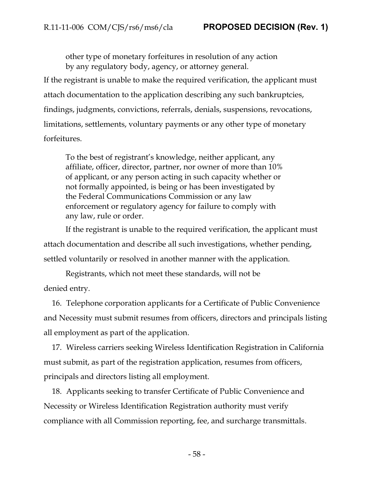other type of monetary forfeitures in resolution of any action by any regulatory body, agency, or attorney general.

If the registrant is unable to make the required verification, the applicant must attach documentation to the application describing any such bankruptcies, findings, judgments, convictions, referrals, denials, suspensions, revocations, limitations, settlements, voluntary payments or any other type of monetary forfeitures.

To the best of registrant's knowledge, neither applicant, any affiliate, officer, director, partner, nor owner of more than 10% of applicant, or any person acting in such capacity whether or not formally appointed, is being or has been investigated by the Federal Communications Commission or any law enforcement or regulatory agency for failure to comply with any law, rule or order.

If the registrant is unable to the required verification, the applicant must attach documentation and describe all such investigations, whether pending, settled voluntarily or resolved in another manner with the application.

Registrants, which not meet these standards, will not be denied entry.

16. Telephone corporation applicants for a Certificate of Public Convenience and Necessity must submit resumes from officers, directors and principals listing all employment as part of the application.

17. Wireless carriers seeking Wireless Identification Registration in California must submit, as part of the registration application, resumes from officers, principals and directors listing all employment.

18. Applicants seeking to transfer Certificate of Public Convenience and Necessity or Wireless Identification Registration authority must verify compliance with all Commission reporting, fee, and surcharge transmittals.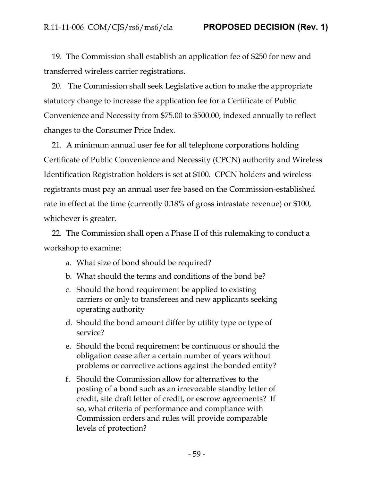19. The Commission shall establish an application fee of \$250 for new and transferred wireless carrier registrations.

20. The Commission shall seek Legislative action to make the appropriate statutory change to increase the application fee for a Certificate of Public Convenience and Necessity from \$75.00 to \$500.00, indexed annually to reflect changes to the Consumer Price Index.

21. A minimum annual user fee for all telephone corporations holding Certificate of Public Convenience and Necessity (CPCN) authority and Wireless Identification Registration holders is set at \$100. CPCN holders and wireless registrants must pay an annual user fee based on the Commission-established rate in effect at the time (currently 0.18% of gross intrastate revenue) or \$100, whichever is greater.

22. The Commission shall open a Phase II of this rulemaking to conduct a workshop to examine:

- a. What size of bond should be required?
- b. What should the terms and conditions of the bond be?
- c. Should the bond requirement be applied to existing carriers or only to transferees and new applicants seeking operating authority
- d. Should the bond amount differ by utility type or type of service?
- e. Should the bond requirement be continuous or should the obligation cease after a certain number of years without problems or corrective actions against the bonded entity?
- f. Should the Commission allow for alternatives to the posting of a bond such as an irrevocable standby letter of credit, site draft letter of credit, or escrow agreements? If so, what criteria of performance and compliance with Commission orders and rules will provide comparable levels of protection?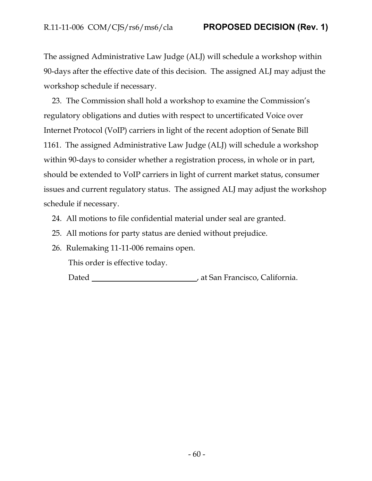The assigned Administrative Law Judge (ALJ) will schedule a workshop within 90-days after the effective date of this decision. The assigned ALJ may adjust the workshop schedule if necessary.

23. The Commission shall hold a workshop to examine the Commission's regulatory obligations and duties with respect to uncertificated Voice over Internet Protocol (VoIP) carriers in light of the recent adoption of Senate Bill 1161. The assigned Administrative Law Judge (ALJ) will schedule a workshop within 90-days to consider whether a registration process, in whole or in part, should be extended to VoIP carriers in light of current market status, consumer issues and current regulatory status. The assigned ALJ may adjust the workshop schedule if necessary.

- 24. All motions to file confidential material under seal are granted.
- 25. All motions for party status are denied without prejudice.
- 26. Rulemaking 11-11-006 remains open.

This order is effective today.

Dated , at San Francisco, California.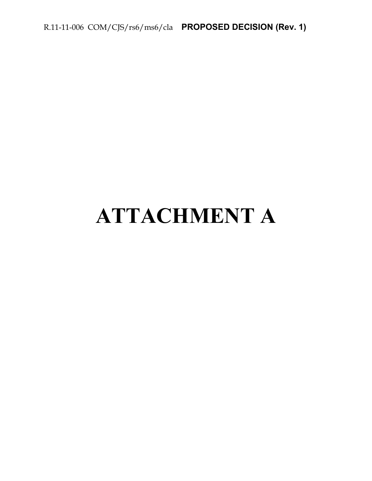R.11-11-006 COM/CJS/rs6/ms6/cla **PROPOSED DECISION (Rev. 1)**

# **ATTACHMENT A**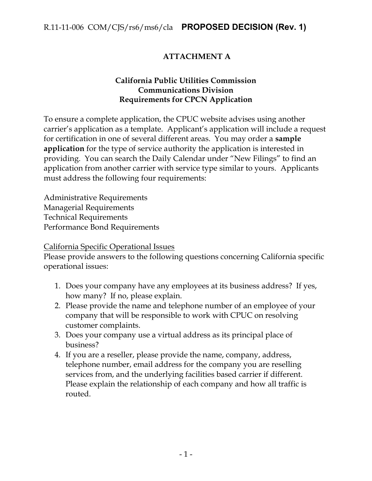# **ATTACHMENT A**

# **California Public Utilities Commission Communications Division Requirements for CPCN Application**

To ensure a complete application, the CPUC website advises using another carrier's application as a template. Applicant's application will include a request for certification in one of several different areas. You may order a **sample application** for the type of service authority the application is interested in providing. You can search the Daily Calendar under "New Filings" to find an application from another carrier with service type similar to yours. Applicants must address the following four requirements:

Administrative Requirements Managerial Requirements Technical Requirements Performance Bond Requirements

California Specific Operational Issues

Please provide answers to the following questions concerning California specific operational issues:

- 1. Does your company have any employees at its business address? If yes, how many? If no, please explain.
- 2. Please provide the name and telephone number of an employee of your company that will be responsible to work with CPUC on resolving customer complaints.
- 3. Does your company use a virtual address as its principal place of business?
- 4. If you are a reseller, please provide the name, company, address, telephone number, email address for the company you are reselling services from, and the underlying facilities based carrier if different. Please explain the relationship of each company and how all traffic is routed.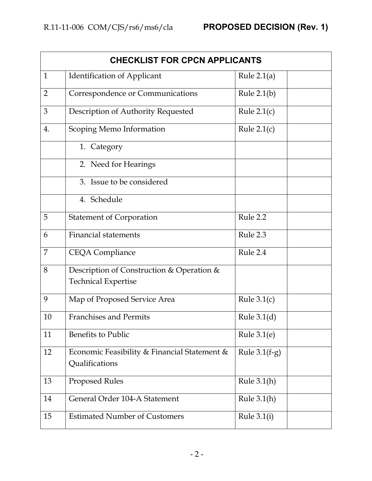| <b>CHECKLIST FOR CPCN APPLICANTS</b> |                                                                |                 |  |  |
|--------------------------------------|----------------------------------------------------------------|-----------------|--|--|
| $\mathbf{1}$                         | <b>Identification of Applicant</b>                             | Rule $2.1(a)$   |  |  |
| $\overline{2}$                       | Correspondence or Communications                               | Rule $2.1(b)$   |  |  |
| 3                                    | Description of Authority Requested                             | Rule $2.1(c)$   |  |  |
| 4.                                   | Scoping Memo Information                                       | Rule $2.1(c)$   |  |  |
|                                      | 1. Category                                                    |                 |  |  |
|                                      | 2. Need for Hearings                                           |                 |  |  |
|                                      | 3. Issue to be considered                                      |                 |  |  |
|                                      | 4. Schedule                                                    |                 |  |  |
| 5                                    | <b>Statement of Corporation</b>                                | Rule 2.2        |  |  |
| 6                                    | <b>Financial statements</b>                                    | Rule 2.3        |  |  |
| 7                                    | <b>CEQA Compliance</b>                                         | Rule 2.4        |  |  |
| 8                                    | Description of Construction & Operation &                      |                 |  |  |
|                                      | <b>Technical Expertise</b>                                     |                 |  |  |
| 9                                    | Map of Proposed Service Area                                   | Rule $3.1(c)$   |  |  |
| 10                                   | <b>Franchises and Permits</b>                                  | Rule $3.1(d)$   |  |  |
| 11                                   | <b>Benefits to Public</b>                                      | Rule $3.1(e)$   |  |  |
| 12                                   | Economic Feasibility & Financial Statement &<br>Qualifications | Rule $3.1(f-g)$ |  |  |
| 13                                   | <b>Proposed Rules</b>                                          | Rule $3.1(h)$   |  |  |
| 14                                   | General Order 104-A Statement                                  | Rule $3.1(h)$   |  |  |
| 15                                   | <b>Estimated Number of Customers</b>                           | Rule $3.1(i)$   |  |  |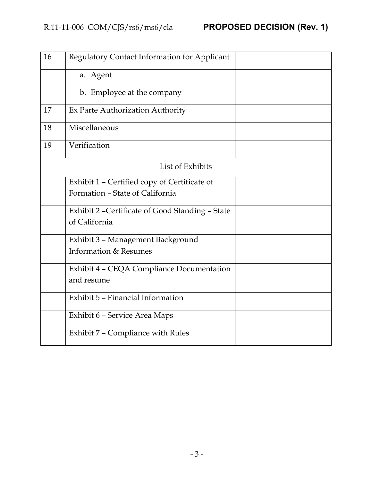| 16 | Regulatory Contact Information for Applicant     |  |
|----|--------------------------------------------------|--|
|    | a. Agent                                         |  |
|    | b. Employee at the company                       |  |
| 17 | Ex Parte Authorization Authority                 |  |
| 18 | Miscellaneous                                    |  |
| 19 | Verification                                     |  |
|    | List of Exhibits                                 |  |
|    | Exhibit 1 - Certified copy of Certificate of     |  |
|    | Formation - State of California                  |  |
|    | Exhibit 2 - Certificate of Good Standing - State |  |
|    | of California                                    |  |
|    | Exhibit 3 - Management Background                |  |
|    | Information & Resumes                            |  |
|    | Exhibit 4 - CEQA Compliance Documentation        |  |
|    | and resume                                       |  |
|    | Exhibit 5 - Financial Information                |  |
|    | Exhibit 6 - Service Area Maps                    |  |
|    | Exhibit 7 - Compliance with Rules                |  |